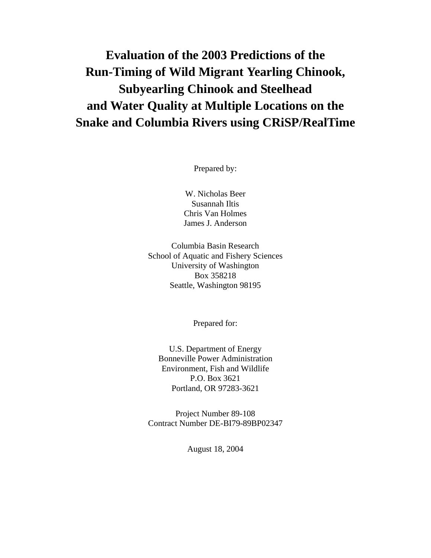# **Evaluation of the 2003 Predictions of the Run-Timing of Wild Migrant Yearling Chinook, Subyearling Chinook and Steelhead and Water Quality at Multiple Locations on the Snake and Columbia Rivers using CRiSP/RealTime**

Prepared by:

W. Nicholas Beer Susannah Iltis Chris Van Holmes James J. Anderson

Columbia Basin Research School of Aquatic and Fishery Sciences University of Washington Box 358218 Seattle, Washington 98195

Prepared for:

U.S. Department of Energy Bonneville Power Administration Environment, Fish and Wildlife P.O. Box 3621 Portland, OR 97283-3621

Project Number 89-108 Contract Number DE-BI79-89BP02347

August 18, 2004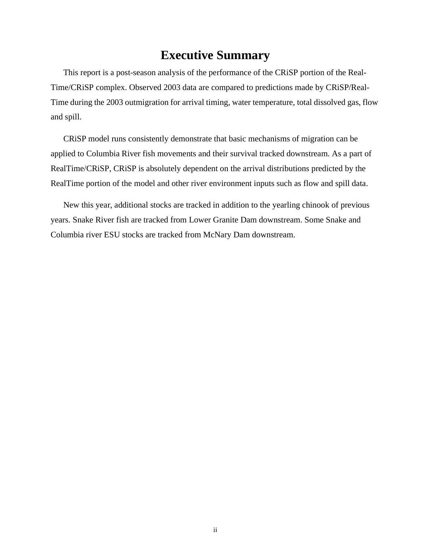# **Executive Summary**

This report is a post-season analysis of the performance of the CRiSP portion of the Real-Time/CRiSP complex. Observed 2003 data are compared to predictions made by CRiSP/Real-Time during the 2003 outmigration for arrival timing, water temperature, total dissolved gas, flow and spill.

CRiSP model runs consistently demonstrate that basic mechanisms of migration can be applied to Columbia River fish movements and their survival tracked downstream. As a part of RealTime/CRiSP, CRiSP is absolutely dependent on the arrival distributions predicted by the RealTime portion of the model and other river environment inputs such as flow and spill data.

New this year, additional stocks are tracked in addition to the yearling chinook of previous years. Snake River fish are tracked from Lower Granite Dam downstream. Some Snake and Columbia river ESU stocks are tracked from McNary Dam downstream.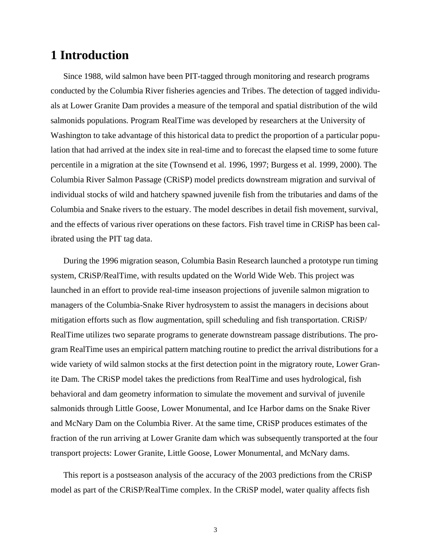# **1 Introduction**

Since 1988, wild salmon have been PIT-tagged through monitoring and research programs conducted by the Columbia River fisheries agencies and Tribes. The detection of tagged individuals at Lower Granite Dam provides a measure of the temporal and spatial distribution of the wild salmonids populations. Program RealTime was developed by researchers at the University of Washington to take advantage of this historical data to predict the proportion of a particular population that had arrived at the index site in real-time and to forecast the elapsed time to some future percentile in a migration at the site (Townsend et al. 1996, 1997; Burgess et al. 1999, 2000). The Columbia River Salmon Passage (CRiSP) model predicts downstream migration and survival of individual stocks of wild and hatchery spawned juvenile fish from the tributaries and dams of the Columbia and Snake rivers to the estuary. The model describes in detail fish movement, survival, and the effects of various river operations on these factors. Fish travel time in CRiSP has been calibrated using the PIT tag data.

During the 1996 migration season, Columbia Basin Research launched a prototype run timing system, CRiSP/RealTime, with results updated on the World Wide Web. This project was launched in an effort to provide real-time inseason projections of juvenile salmon migration to managers of the Columbia-Snake River hydrosystem to assist the managers in decisions about mitigation efforts such as flow augmentation, spill scheduling and fish transportation. CRiSP/ RealTime utilizes two separate programs to generate downstream passage distributions. The program RealTime uses an empirical pattern matching routine to predict the arrival distributions for a wide variety of wild salmon stocks at the first detection point in the migratory route, Lower Granite Dam. The CRiSP model takes the predictions from RealTime and uses hydrological, fish behavioral and dam geometry information to simulate the movement and survival of juvenile salmonids through Little Goose, Lower Monumental, and Ice Harbor dams on the Snake River and McNary Dam on the Columbia River. At the same time, CRiSP produces estimates of the fraction of the run arriving at Lower Granite dam which was subsequently transported at the four transport projects: Lower Granite, Little Goose, Lower Monumental, and McNary dams.

This report is a postseason analysis of the accuracy of the 2003 predictions from the CRiSP model as part of the CRiSP/RealTime complex. In the CRiSP model, water quality affects fish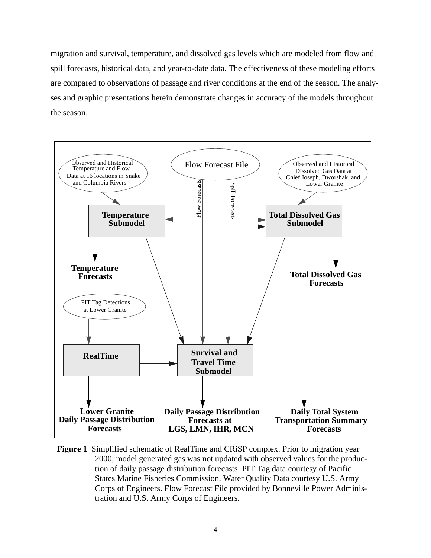migration and survival, temperature, and dissolved gas levels which are modeled from flow and spill forecasts, historical data, and year-to-date data. The effectiveness of these modeling efforts are compared to observations of passage and river conditions at the end of the season. The analyses and graphic presentations herein demonstrate changes in accuracy of the models throughout the season.



**Figure 1** Simplified schematic of RealTime and CRiSP complex. Prior to migration year 2000, model generated gas was not updated with observed values for the production of daily passage distribution forecasts. PIT Tag data courtesy of Pacific States Marine Fisheries Commission. Water Quality Data courtesy U.S. Army Corps of Engineers. Flow Forecast File provided by Bonneville Power Administration and U.S. Army Corps of Engineers.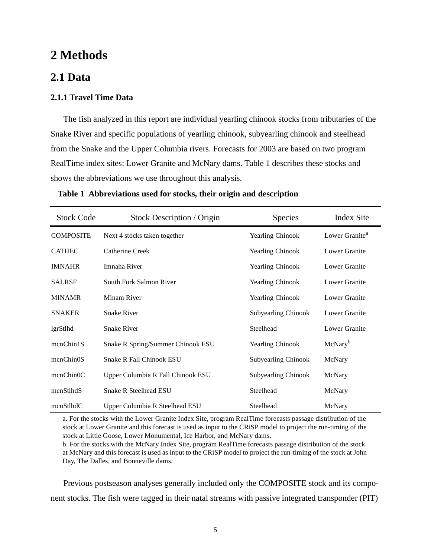# **2 Methods**

### **2.1 Data**

### **2.1.1 Travel Time Data**

The fish analyzed in this report are individual yearling chinook stocks from tributaries of the Snake River and specific populations of yearling chinook, subyearling chinook and steelhead from the Snake and the Upper Columbia rivers. Forecasts for 2003 are based on two program RealTime index sites: Lower Granite and McNary dams. Table 1 describes these stocks and shows the abbreviations we use throughout this analysis.

| <b>Stock Code</b> | Stock Description / Origin        | Species                    | <b>Index Site</b>          |
|-------------------|-----------------------------------|----------------------------|----------------------------|
| <b>COMPOSITE</b>  | Next 4 stocks taken together      | <b>Yearling Chinook</b>    | Lower Granite <sup>a</sup> |
| <b>CATHEC</b>     | Catherine Creek                   | <b>Yearling Chinook</b>    | Lower Granite              |
| <b>IMNAHR</b>     | Imnaha River                      | <b>Yearling Chinook</b>    | Lower Granite              |
| <b>SALRSF</b>     | South Fork Salmon River           | <b>Yearling Chinook</b>    | Lower Granite              |
| <b>MINAMR</b>     | Minam River                       | <b>Yearling Chinook</b>    | Lower Granite              |
| <b>SNAKER</b>     | <b>Snake River</b>                | Subyearling Chinook        | Lower Granite              |
| lgrStlhd          | <b>Snake River</b>                | Steelhead                  | Lower Granite              |
| mcnChin1S         | Snake R Spring/Summer Chinook ESU | <b>Yearling Chinook</b>    | McNary <sup>b</sup>        |
| mcnChin0S         | <b>Snake R Fall Chinook ESU</b>   | <b>Subyearling Chinook</b> | McNary                     |
| mcnChin0C         | Upper Columbia R Fall Chinook ESU | <b>Subyearling Chinook</b> | McNary                     |
| mcnStlhdS         | <b>Snake R Steelhead ESU</b>      | Steelhead                  | McNary                     |
| mcnStlhdC         | Upper Columbia R Steelhead ESU    | Steelhead                  | McNary                     |

**Table 1 Abbreviations used for stocks, their origin and description**

a. For the stocks with the Lower Granite Index Site, program RealTime forecasts passage distribution of the stock at Lower Granite and this forecast is used as input to the CRiSP model to project the run-timing of the stock at Little Goose, Lower Monumental, Ice Harbor, and McNary dams.

b. For the stocks with the McNary Index Site, program RealTime forecasts passage distribution of the stock at McNary and this forecast is used as input to the CRiSP model to project the run-timing of the stock at John Day, The Dalles, and Bonneville dams.

Previous postseason analyses generally included only the COMPOSITE stock and its component stocks. The fish were tagged in their natal streams with passive integrated transponder (PIT)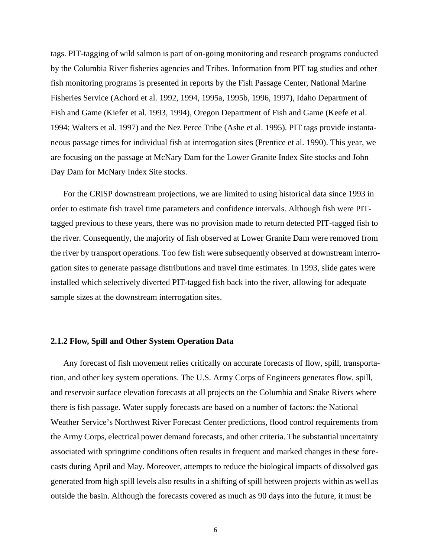tags. PIT-tagging of wild salmon is part of on-going monitoring and research programs conducted by the Columbia River fisheries agencies and Tribes. Information from PIT tag studies and other fish monitoring programs is presented in reports by the Fish Passage Center, National Marine Fisheries Service (Achord et al. 1992, 1994, 1995a, 1995b, 1996, 1997), Idaho Department of Fish and Game (Kiefer et al. 1993, 1994), Oregon Department of Fish and Game (Keefe et al. 1994; Walters et al. 1997) and the Nez Perce Tribe (Ashe et al. 1995). PIT tags provide instantaneous passage times for individual fish at interrogation sites (Prentice et al. 1990). This year, we are focusing on the passage at McNary Dam for the Lower Granite Index Site stocks and John Day Dam for McNary Index Site stocks.

For the CRiSP downstream projections, we are limited to using historical data since 1993 in order to estimate fish travel time parameters and confidence intervals. Although fish were PITtagged previous to these years, there was no provision made to return detected PIT-tagged fish to the river. Consequently, the majority of fish observed at Lower Granite Dam were removed from the river by transport operations. Too few fish were subsequently observed at downstream interrogation sites to generate passage distributions and travel time estimates. In 1993, slide gates were installed which selectively diverted PIT-tagged fish back into the river, allowing for adequate sample sizes at the downstream interrogation sites.

#### **2.1.2 Flow, Spill and Other System Operation Data**

Any forecast of fish movement relies critically on accurate forecasts of flow, spill, transportation, and other key system operations. The U.S. Army Corps of Engineers generates flow, spill, and reservoir surface elevation forecasts at all projects on the Columbia and Snake Rivers where there is fish passage. Water supply forecasts are based on a number of factors: the National Weather Service's Northwest River Forecast Center predictions, flood control requirements from the Army Corps, electrical power demand forecasts, and other criteria. The substantial uncertainty associated with springtime conditions often results in frequent and marked changes in these forecasts during April and May. Moreover, attempts to reduce the biological impacts of dissolved gas generated from high spill levels also results in a shifting of spill between projects within as well as outside the basin. Although the forecasts covered as much as 90 days into the future, it must be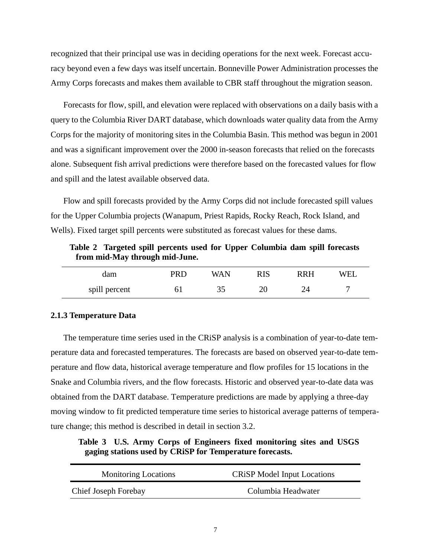<span id="page-6-0"></span>recognized that their principal use was in deciding operations for the next week. Forecast accuracy beyond even a few days was itself uncertain. Bonneville Power Administration processes the Army Corps forecasts and makes them available to CBR staff throughout the migration season.

Forecasts for flow, spill, and elevation were replaced with observations on a daily basis with a query to the Columbia River DART database, which downloads water quality data from the Army Corps for the majority of monitoring sites in the Columbia Basin. This method was begun in 2001 and was a significant improvement over the 2000 in-season forecasts that relied on the forecasts alone. Subsequent fish arrival predictions were therefore based on the forecasted values for flow and spill and the latest available observed data.

Flow and spill forecasts provided by the Army Corps did not include forecasted spill values for the Upper Columbia projects (Wanapum, Priest Rapids, Rocky Reach, Rock Island, and Wells). Fixed target spill percents were substituted as forecast values for these dams.

| dam           | PRD | WAN | RIS | <b>RRH</b> | WEL |
|---------------|-----|-----|-----|------------|-----|
| spill percent |     | 25  |     |            |     |

**Table 2 Targeted spill percents used for Upper Columbia dam spill forecasts from mid-May through mid-June.** 

#### **2.1.3 Temperature Data**

The temperature time series used in the CRiSP analysis is a combination of year-to-date temperature data and forecasted temperatures. The forecasts are based on observed year-to-date temperature and flow data, historical average temperature and flow profiles for 15 locations in the Snake and Columbia rivers, and the flow forecasts. Historic and observed year-to-date data was obtained from the DART database. Temperature predictions are made by applying a three-day moving window to fit predicted temperature time series to historical average patterns of temperature change; this method is described in detail in sectio[n 3.2](#page-17-0).

**Table 3 U.S. Army Corps of Engineers fixed monitoring sites and USGS gaging stations used by CRiSP for Temperature forecasts.**

| <b>Monitoring Locations</b> | <b>CRISP Model Input Locations</b> |
|-----------------------------|------------------------------------|
| Chief Joseph Forebay        | Columbia Headwater                 |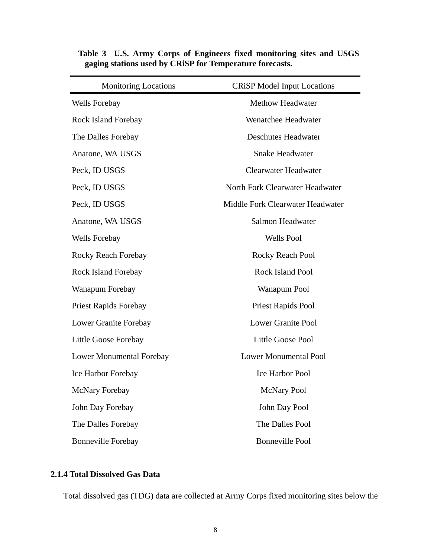| <b>Monitoring Locations</b>     | <b>CRiSP Model Input Locations</b> |
|---------------------------------|------------------------------------|
| Wells Forebay                   | <b>Methow Headwater</b>            |
| <b>Rock Island Forebay</b>      | Wenatchee Headwater                |
| The Dalles Forebay              | <b>Deschutes Headwater</b>         |
| Anatone, WA USGS                | <b>Snake Headwater</b>             |
| Peck, ID USGS                   | <b>Clearwater Headwater</b>        |
| Peck, ID USGS                   | North Fork Clearwater Headwater    |
| Peck, ID USGS                   | Middle Fork Clearwater Headwater   |
| Anatone, WA USGS                | Salmon Headwater                   |
| Wells Forebay                   | <b>Wells Pool</b>                  |
| Rocky Reach Forebay             | Rocky Reach Pool                   |
| <b>Rock Island Forebay</b>      | Rock Island Pool                   |
| Wanapum Forebay                 | Wanapum Pool                       |
| <b>Priest Rapids Forebay</b>    | Priest Rapids Pool                 |
| Lower Granite Forebay           | <b>Lower Granite Pool</b>          |
| Little Goose Forebay            | <b>Little Goose Pool</b>           |
| <b>Lower Monumental Forebay</b> | <b>Lower Monumental Pool</b>       |
| Ice Harbor Forebay              | <b>Ice Harbor Pool</b>             |
| McNary Forebay                  | <b>McNary Pool</b>                 |
| John Day Forebay                | John Day Pool                      |
| The Dalles Forebay              | The Dalles Pool                    |
| <b>Bonneville Forebay</b>       | <b>Bonneville Pool</b>             |

**Table 3 U.S. Army Corps of Engineers fixed monitoring sites and USGS gaging stations used by CRiSP for Temperature forecasts.**

### **2.1.4 Total Dissolved Gas Data**

Total dissolved gas (TDG) data are collected at Army Corps fixed monitoring sites below the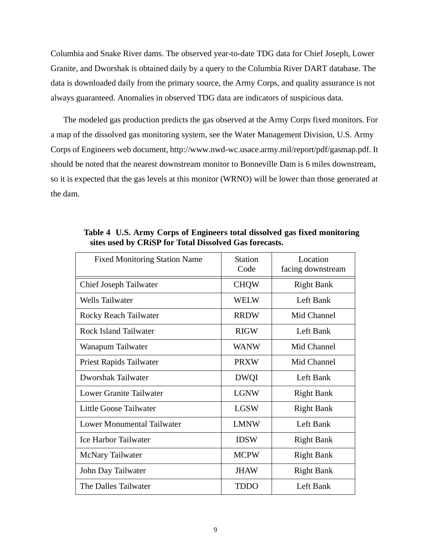Columbia and Snake River dams. The observed year-to-date TDG data for Chief Joseph, Lower Granite, and Dworshak is obtained daily by a query to the Columbia River DART database. The data is downloaded daily from the primary source, the Army Corps, and quality assurance is not always guaranteed. Anomalies in observed TDG data are indicators of suspicious data.

The modeled gas production predicts the gas observed at the Army Corps fixed monitors. For a map of the dissolved gas monitoring system, see the Water Management Division, U.S. Army Corps of Engineers web document, http://www.nwd-wc.usace.army.mil/report/pdf/gasmap.pdf. It should be noted that the nearest downstream monitor to Bonneville Dam is 6 miles downstream, so it is expected that the gas levels at this monitor (WRNO) will be lower than those generated at the dam.

| <b>Fixed Monitoring Station Name</b> | <b>Station</b><br>Code | Location<br>facing downstream |
|--------------------------------------|------------------------|-------------------------------|
| Chief Joseph Tailwater               | <b>CHQW</b>            | <b>Right Bank</b>             |
| <b>Wells Tailwater</b>               | <b>WELW</b>            | Left Bank                     |
| Rocky Reach Tailwater                | <b>RRDW</b>            | Mid Channel                   |
| <b>Rock Island Tailwater</b>         | <b>RIGW</b>            | Left Bank                     |
| Wanapum Tailwater                    | <b>WANW</b>            | Mid Channel                   |
| Priest Rapids Tailwater              | <b>PRXW</b>            | Mid Channel                   |
| Dworshak Tailwater                   | <b>DWQI</b>            | Left Bank                     |
| <b>Lower Granite Tailwater</b>       | <b>LGNW</b>            | <b>Right Bank</b>             |
| Little Goose Tailwater               | <b>LGSW</b>            | <b>Right Bank</b>             |
| Lower Monumental Tailwater           | <b>LMNW</b>            | Left Bank                     |
| <b>Ice Harbor Tailwater</b>          | <b>IDSW</b>            | <b>Right Bank</b>             |
| McNary Tailwater                     | <b>MCPW</b>            | <b>Right Bank</b>             |
| John Day Tailwater                   | <b>JHAW</b>            | <b>Right Bank</b>             |
| The Dalles Tailwater                 | <b>TDDO</b>            | Left Bank                     |

**Table 4 U.S. Army Corps of Engineers total dissolved gas fixed monitoring sites used by CRiSP for Total Dissolved Gas forecasts.**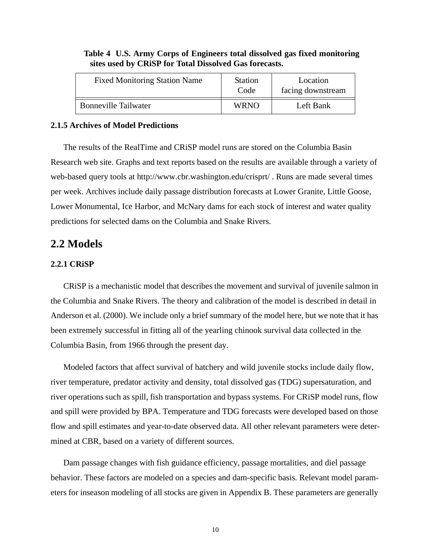| <b>Fixed Monitoring Station Name</b> | <b>Station</b><br>Code | Location<br>facing downstream |
|--------------------------------------|------------------------|-------------------------------|
| <b>Bonneville Tailwater</b>          | <b>WRNO</b>            | Left Bank                     |

#### **Table 4 U.S. Army Corps of Engineers total dissolved gas fixed monitoring sites used by CRiSP for Total Dissolved Gas forecasts.**

#### **2.1.5 Archives of Model Predictions**

The results of the RealTime and CRiSP model runs are stored on the Columbia Basin Research web site. Graphs and text reports based on the results are available through a variety of web-based query tools at http://www.cbr.washington.edu/crisprt/ . Runs are made several times per week. Archives include daily passage distribution forecasts at Lower Granite, Little Goose, Lower Monumental, Ice Harbor, and McNary dams for each stock of interest and water quality predictions for selected dams on the Columbia and Snake Rivers.

### **2.2 Models**

#### **2.2.1 CRiSP**

CRiSP is a mechanistic model that describes the movement and survival of juvenile salmon in the Columbia and Snake Rivers. The theory and calibration of the model is described in detail in Anderson et al. (2000). We include only a brief summary of the model here, but we note that it has been extremely successful in fitting all of the yearling chinook survival data collected in the Columbia Basin, from 1966 through the present day.

Modeled factors that affect survival of hatchery and wild juvenile stocks include daily flow, river temperature, predator activity and density, total dissolved gas (TDG) supersaturation, and river operations such as spill, fish transportation and bypass systems. For CRiSP model runs, flow and spill were provided by BPA. Temperature and TDG forecasts were developed based on those flow and spill estimates and year-to-date observed data. All other relevant parameters were determined at CBR, based on a variety of different sources.

Dam passage changes with fish guidance efficiency, passage mortalities, and diel passage behavior. These factors are modeled on a species and dam-specific basis. Relevant model parameters for inseason modeling of all stocks are given in [Appendix B](#page-37-0). These parameters are generally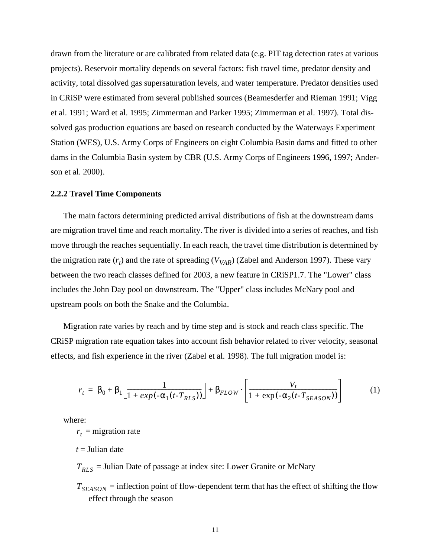drawn from the literature or are calibrated from related data (e.g. PIT tag detection rates at various projects). Reservoir mortality depends on several factors: fish travel time, predator density and activity, total dissolved gas supersaturation levels, and water temperature. Predator densities used in CRiSP were estimated from several published sources (Beamesderfer and Rieman 1991; Vigg et al. 1991; Ward et al. 1995; Zimmerman and Parker 1995; Zimmerman et al. 1997). Total dissolved gas production equations are based on research conducted by the Waterways Experiment Station (WES), U.S. Army Corps of Engineers on eight Columbia Basin dams and fitted to other dams in the Columbia Basin system by CBR (U.S. Army Corps of Engineers 1996, 1997; Anderson et al. 2000).

#### **2.2.2 Travel Time Components**

The main factors determining predicted arrival distributions of fish at the downstream dams are migration travel time and reach mortality. The river is divided into a series of reaches, and fish move through the reaches sequentially. In each reach, the travel time distribution is determined by the migration rate  $(r_t)$  and the rate of spreading  $(V_{VAR})$  (Zabel and Anderson 1997). These vary between the two reach classes defined for 2003, a new feature in CRiSP1.7. The "Lower" class includes the John Day pool on downstream. The "Upper" class includes McNary pool and upstream pools on both the Snake and the Columbia.

Migration rate varies by reach and by time step and is stock and reach class specific. The CRiSP migration rate equation takes into account fish behavior related to river velocity, seasonal effects, and fish experience in the river (Zabel et al. 1998). The full migration model is:

$$
r_t = \beta_0 + \beta_1 \left[ \frac{1}{1 + exp(-\alpha_1(t - T_{RLS}))} \right] + \beta_{FLOW} \cdot \left[ \frac{V_t}{1 + exp(-\alpha_2(t - T_{SEASON}))} \right]
$$
(1)

where:

 $r<sub>t</sub>$  = migration rate

*t* = Julian date

= Julian Date of passage at index site: Lower Granite or McNary *TRLS*

 $T_{SEASON}$  = inflection point of flow-dependent term that has the effect of shifting the flow effect through the season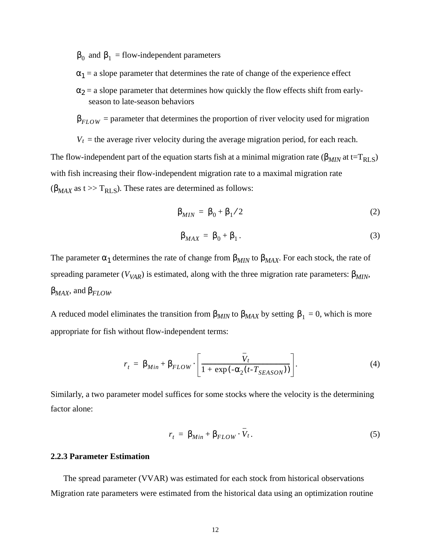$β_0$  and  $β_1$  = flow-independent parameters

- $\alpha_1$  = a slope parameter that determines the rate of change of the experience effect
- $\alpha_2$  = a slope parameter that determines how quickly the flow effects shift from earlyseason to late-season behaviors

 $\beta_{FLOW}$  = parameter that determines the proportion of river velocity used for migration

 $V_t$  = the average river velocity during the average migration period, for each reach. The flow-independent part of the equation starts fish at a minimal migration rate ( $\beta_{MIN}$  at t=T<sub>RLS</sub>) with fish increasing their flow-independent migration rate to a maximal migration rate  $(\beta_{MAX}$  as t >> T<sub>RLS</sub>). These rates are determined as follows:

$$
\beta_{MIN} = \beta_0 + \beta_1 / 2 \tag{2}
$$

$$
\beta_{MAX} = \beta_0 + \beta_1. \tag{3}
$$

The parameter  $\alpha_1$  determines the rate of change from  $\beta_{MIN}$  to  $\beta_{MAX}$ . For each stock, the rate of spreading parameter ( $V_{VAR}$ ) is estimated, along with the three migration rate parameters:  $\beta_{MIN}$ , β*MAX*, and β*FLOW*.

A reduced model eliminates the transition from  $\beta_{MIN}$  to  $\beta_{MAX}$  by setting  $\beta_1 = 0$ , which is more appropriate for fish without flow-independent terms:

$$
r_{t} = \beta_{Min} + \beta_{FLOW} \cdot \left[ \frac{\overline{V}_{t}}{1 + \exp(-\alpha_{2}(t - T_{SEASON}))} \right].
$$
 (4)

Similarly, a two parameter model suffices for some stocks where the velocity is the determining factor alone:

$$
r_t = \beta_{Min} + \beta_{FLOW} \cdot V_t. \tag{5}
$$

#### **2.2.3 Parameter Estimation**

The spread parameter (VVAR) was estimated for each stock from historical observations Migration rate parameters were estimated from the historical data using an optimization routine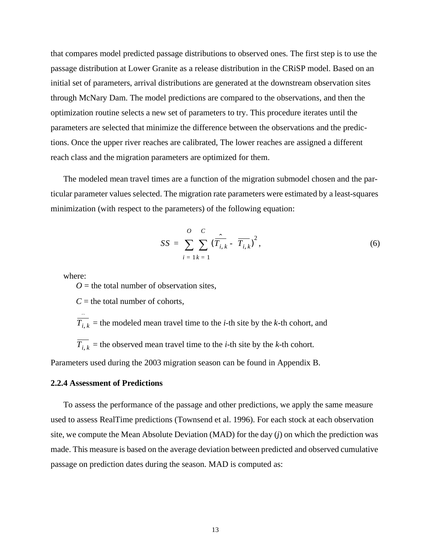<span id="page-12-0"></span>that compares model predicted passage distributions to observed ones. The first step is to use the passage distribution at Lower Granite as a release distribution in the CRiSP model. Based on an initial set of parameters, arrival distributions are generated at the downstream observation sites through McNary Dam. The model predictions are compared to the observations, and then the optimization routine selects a new set of parameters to try. This procedure iterates until the parameters are selected that minimize the difference between the observations and the predictions. Once the upper river reaches are calibrated, The lower reaches are assigned a different reach class and the migration parameters are optimized for them.

The modeled mean travel times are a function of the migration submodel chosen and the particular parameter values selected. The migration rate parameters were estimated by a least-squares minimization (with respect to the parameters) of the following equation:

$$
SS = \sum_{i=1}^{O} \sum_{k=1}^{C} (\overline{T}_{i,k} - \overline{T}_{i,k})^{2},
$$
 (6)

where:

 $Q =$  the total number of observation sites.

 $C =$  the total number of cohorts,

 $T_{i, k}$  = the modeled mean travel time to the *i*-th site by the *k*-th cohort, and  $T_{i, k}$  = the observed mean travel time to the *i*-th site by the *k*-th cohort. ˆ

Parameters used during the 2003 migration season can be found in [Appendix B](#page-37-0).

#### **2.2.4 Assessment of Predictions**

To assess the performance of the passage and other predictions, we apply the same measure used to assess RealTime predictions (Townsend et al. 1996). For each stock at each observation site, we compute the Mean Absolute Deviation (MAD) for the day (*j*) on which the prediction was made. This measure is based on the average deviation between predicted and observed cumulative passage on prediction dates during the season. MAD is computed as: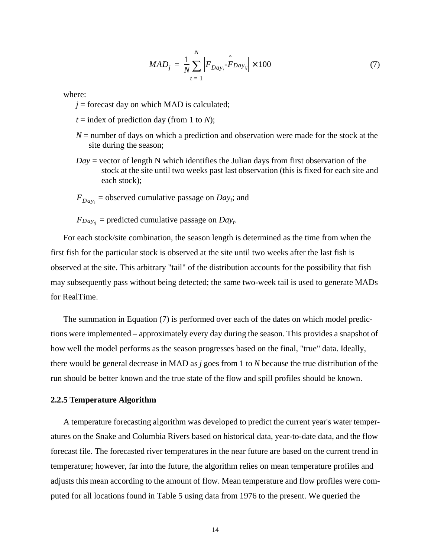$$
MAD_j = \frac{1}{N} \sum_{t=1}^{N} \left| F_{Day_t} \hat{F}_{Day_{tj}} \right| \times 100 \tag{7}
$$

<span id="page-13-0"></span>where:

 $j =$  forecast day on which MAD is calculated;

 $t =$  index of prediction day (from 1 to *N*);

- $N =$  number of days on which a prediction and observation were made for the stock at the site during the season;
- *Day* = vector of length N which identifies the Julian days from first observation of the stock at the site until two weeks past last observation (this is fixed for each site and each stock);
- $F_{Day_t}$  = observed cumulative passage on *Day<sub>t</sub>*; and

 $F_{Day_{tj}}$  = predicted cumulative passage on  $Day_{t}$ . *Daytj*

For each stock/site combination, the season length is determined as the time from when the first fish for the particular stock is observed at the site until two weeks after the last fish is observed at the site. This arbitrary "tail" of the distribution accounts for the possibility that fish may subsequently pass without being detected; the same two-week tail is used to generate MADs for RealTime.

The summation in Equation (7) is performed over each of the dates on which model predictions were implemented – approximately every day during the season. This provides a snapshot of how well the model performs as the season progresses based on the final, "true" data. Ideally, there would be general decrease in MAD as *j* goes from 1 to *N* because the true distribution of the run should be better known and the true state of the flow and spill profiles should be known.

#### **2.2.5 Temperature Algorithm**

A temperature forecasting algorithm was developed to predict the current year's water temperatures on the Snake and Columbia Rivers based on historical data, year-to-date data, and the flow forecast file. The forecasted river temperatures in the near future are based on the current trend in temperature; however, far into the future, the algorithm relies on mean temperature profiles and adjusts this mean according to the amount of flow. Mean temperature and flow profiles were computed for all locations found in [Table 5](#page-15-0) using data from 1976 to the present. We queried the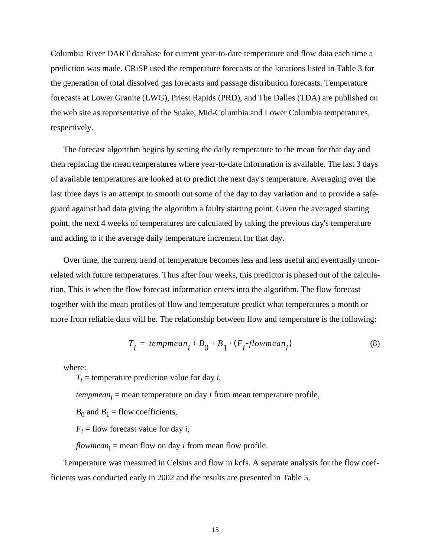Columbia River DART database for current year-to-date temperature and flow data each time a prediction was made. CRiSP used the temperature forecasts at the locations listed in [Table 3](#page-6-0) for the generation of total dissolved gas forecasts and passage distribution forecasts. Temperature forecasts at Lower Granite (LWG), Priest Rapids (PRD), and The Dalles (TDA) are published on the web site as representative of the Snake, Mid-Columbia and Lower Columbia temperatures, respectively.

The forecast algorithm begins by setting the daily temperature to the mean for that day and then replacing the mean temperatures where year-to-date information is available. The last 3 days of available temperatures are looked at to predict the next day's temperature. Averaging over the last three days is an attempt to smooth out some of the day to day variation and to provide a safeguard against bad data giving the algorithm a faulty starting point. Given the averaged starting point, the next 4 weeks of temperatures are calculated by taking the previous day's temperature and adding to it the average daily temperature increment for that day.

Over time, the current trend of temperature becomes less and less useful and eventually uncorrelated with future temperatures. Thus after four weeks, this predictor is phased out of the calculation. This is when the flow forecast information enters into the algorithm. The flow forecast together with the mean profiles of flow and temperature predict what temperatures a month or more from reliable data will be. The relationship between flow and temperature is the following:

$$
T_i = \text{temperature}_{i} + B_0 + B_1 \cdot (F_i - \text{flowmean}_{i}) \tag{8}
$$

where:

 $T_i$  = temperature prediction value for day *i*,

 $tempmean_i$  = mean temperature on day  $i$  from mean temperature profile,

 $B_0$  and  $B_1$  = flow coefficients,

 $F_i$  = flow forecast value for day *i*,

*flowmean*<sup>i</sup> = mean flow on day *i* from mean flow profile.

Temperature was measured in Celsius and flow in kcfs. A separate analysis for the flow coefficients was conducted early in 2002 and the results are presented in [Table 5](#page-15-0).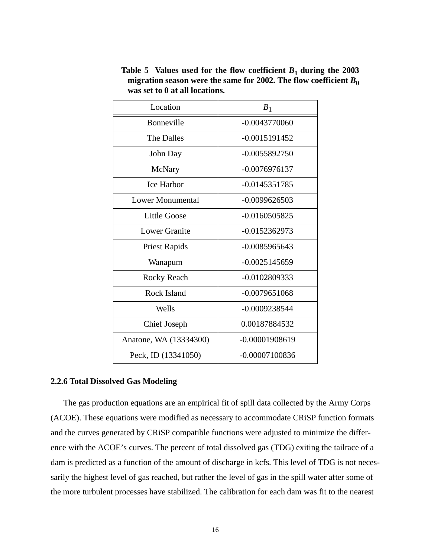| Location               | $B_1$            |
|------------------------|------------------|
| Bonneville             | $-0.0043770060$  |
| The Dalles             | $-0.0015191452$  |
| John Day               | $-0.0055892750$  |
| McNary                 | $-0.0076976137$  |
| <b>Ice Harbor</b>      | $-0.0145351785$  |
| Lower Monumental       | $-0.0099626503$  |
| Little Goose           | $-0.0160505825$  |
| Lower Granite          | -0.0152362973    |
| <b>Priest Rapids</b>   | $-0.0085965643$  |
| Wanapum                | $-0.0025145659$  |
| Rocky Reach            | $-0.0102809333$  |
| Rock Island            | $-0.0079651068$  |
| Wells                  | $-0.0009238544$  |
| <b>Chief Joseph</b>    | 0.00187884532    |
| Anatone, WA (13334300) | $-0.00001908619$ |
| Peck, ID (13341050)    | $-0.00007100836$ |

<span id="page-15-0"></span>Table 5 Values used for the flow coefficient  $B_1$  during the 2003 migration season were the same for 2002. The flow coefficient  $B_0$ **was set to 0 at all locations.**

#### **2.2.6 Total Dissolved Gas Modeling**

The gas production equations are an empirical fit of spill data collected by the Army Corps (ACOE). These equations were modified as necessary to accommodate CRiSP function formats and the curves generated by CRiSP compatible functions were adjusted to minimize the difference with the ACOE's curves. The percent of total dissolved gas (TDG) exiting the tailrace of a dam is predicted as a function of the amount of discharge in kcfs. This level of TDG is not necessarily the highest level of gas reached, but rather the level of gas in the spill water after some of the more turbulent processes have stabilized. The calibration for each dam was fit to the nearest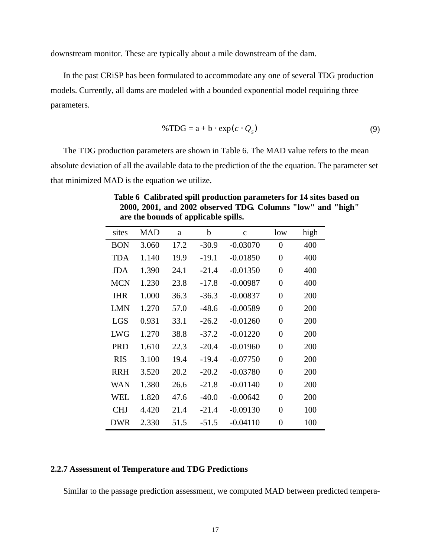downstream monitor. These are typically about a mile downstream of the dam.

In the past CRiSP has been formulated to accommodate any one of several TDG production models. Currently, all dams are modeled with a bounded exponential model requiring three parameters.

$$
\% TDG = a + b \cdot \exp(c \cdot Q_s) \tag{9}
$$

The TDG production parameters are shown in Table 6. The MAD value refers to the mean absolute deviation of all the available data to the prediction of the the equation. The parameter set that minimized MAD is the equation we utilize.

| sites      | <b>MAD</b> | a    | b       | $\mathbf{C}$ | low              | high |
|------------|------------|------|---------|--------------|------------------|------|
| <b>BON</b> | 3.060      | 17.2 | $-30.9$ | $-0.03070$   | $\overline{0}$   | 400  |
| <b>TDA</b> | 1.140      | 19.9 | $-19.1$ | $-0.01850$   | $\overline{0}$   | 400  |
| <b>JDA</b> | 1.390      | 24.1 | $-21.4$ | $-0.01350$   | $\overline{0}$   | 400  |
| <b>MCN</b> | 1.230      | 23.8 | $-17.8$ | $-0.00987$   | $\overline{0}$   | 400  |
| <b>IHR</b> | 1.000      | 36.3 | $-36.3$ | $-0.00837$   | $\boldsymbol{0}$ | 200  |
| <b>LMN</b> | 1.270      | 57.0 | $-48.6$ | $-0.00589$   | $\boldsymbol{0}$ | 200  |
| <b>LGS</b> | 0.931      | 33.1 | $-26.2$ | $-0.01260$   | $\boldsymbol{0}$ | 200  |
| <b>LWG</b> | 1.270      | 38.8 | $-37.2$ | $-0.01220$   | $\overline{0}$   | 200  |
| <b>PRD</b> | 1.610      | 22.3 | $-20.4$ | $-0.01960$   | $\overline{0}$   | 200  |
| <b>RIS</b> | 3.100      | 19.4 | $-19.4$ | $-0.07750$   | $\overline{0}$   | 200  |
| <b>RRH</b> | 3.520      | 20.2 | $-20.2$ | $-0.03780$   | $\overline{0}$   | 200  |
| WAN        | 1.380      | 26.6 | $-21.8$ | $-0.01140$   | $\overline{0}$   | 200  |
| <b>WEL</b> | 1.820      | 47.6 | $-40.0$ | $-0.00642$   | $\overline{0}$   | 200  |
| <b>CHJ</b> | 4.420      | 21.4 | $-21.4$ | $-0.09130$   | $\overline{0}$   | 100  |
| <b>DWR</b> | 2.330      | 51.5 | $-51.5$ | $-0.04110$   | $\overline{0}$   | 100  |

**Table 6 Calibrated spill production parameters for 14 sites based on 2000, 2001, and 2002 observed TDG. Columns "low" and "high" are the bounds of applicable spills.**

#### **2.2.7 Assessment of Temperature and TDG Predictions**

Similar to the passage prediction assessment, we computed MAD between predicted tempera-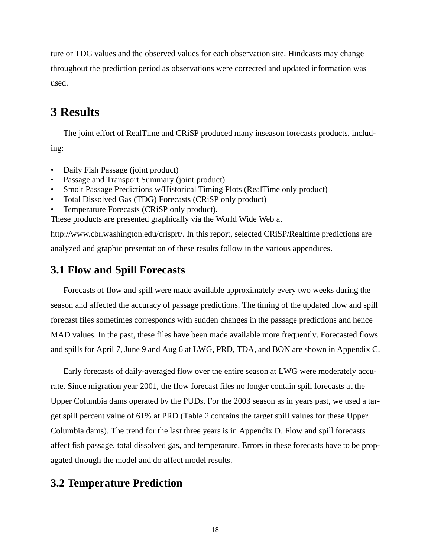<span id="page-17-0"></span>ture or TDG values and the observed values for each observation site. Hindcasts may change throughout the prediction period as observations were corrected and updated information was used.

# **3 Results**

The joint effort of RealTime and CRiSP produced many inseason forecasts products, including:

- Daily Fish Passage (joint product)
- Passage and Transport Summary (joint product)
- Smolt Passage Predictions w/Historical Timing Plots (RealTime only product)
- Total Dissolved Gas (TDG) Forecasts (CRiSP only product)
- Temperature Forecasts (CRiSP only product).

These products are presented graphically via the World Wide Web at

http://www.cbr.washington.edu/crisprt/. In this report, selected CRiSP/Realtime predictions are analyzed and graphic presentation of these results follow in the various appendices.

# **3.1 Flow and Spill Forecasts**

Forecasts of flow and spill were made available approximately every two weeks during the season and affected the accuracy of passage predictions. The timing of the updated flow and spill forecast files sometimes corresponds with sudden changes in the passage predictions and hence MAD values. In the past, these files have been made available more frequently. Forecasted flows and spills for April 7, June 9 and Aug 6 at LWG, PRD, TDA, and BON are shown in [Appendix C](#page-42-0).

Early forecasts of daily-averaged flow over the entire season at LWG were moderately accurate. Since migration year 2001, the flow forecast files no longer contain spill forecasts at the Upper Columbia dams operated by the PUDs. For the 2003 season as in years past, we used a target spill percent value of 61% at PRD [\(Table 2](#page-6-0) contains the target spill values for these Upper Columbia dams). The trend for the last three years is in [Appendix D](#page-51-0). Flow and spill forecasts affect fish passage, total dissolved gas, and temperature. Errors in these forecasts have to be propagated through the model and do affect model results.

# **3.2 Temperature Prediction**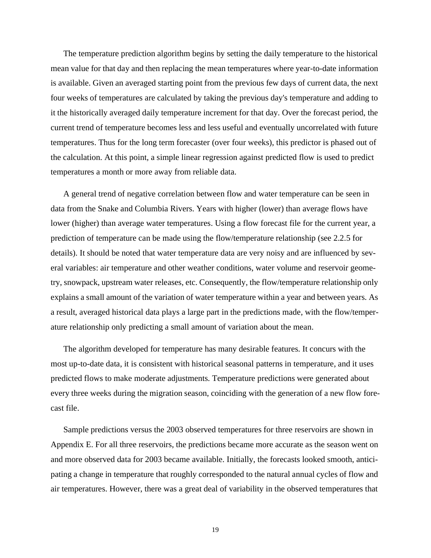The temperature prediction algorithm begins by setting the daily temperature to the historical mean value for that day and then replacing the mean temperatures where year-to-date information is available. Given an averaged starting point from the previous few days of current data, the next four weeks of temperatures are calculated by taking the previous day's temperature and adding to it the historically averaged daily temperature increment for that day. Over the forecast period, the current trend of temperature becomes less and less useful and eventually uncorrelated with future temperatures. Thus for the long term forecaster (over four weeks), this predictor is phased out of the calculation. At this point, a simple linear regression against predicted flow is used to predict temperatures a month or more away from reliable data.

A general trend of negative correlation between flow and water temperature can be seen in data from the Snake and Columbia Rivers. Years with higher (lower) than average flows have lower (higher) than average water temperatures. Using a flow forecast file for the current year, a prediction of temperature can be made using the flow/temperature relationship (see [2.2.5](#page-13-0) for details). It should be noted that water temperature data are very noisy and are influenced by several variables: air temperature and other weather conditions, water volume and reservoir geometry, snowpack, upstream water releases, etc. Consequently, the flow/temperature relationship only explains a small amount of the variation of water temperature within a year and between years. As a result, averaged historical data plays a large part in the predictions made, with the flow/temperature relationship only predicting a small amount of variation about the mean.

The algorithm developed for temperature has many desirable features. It concurs with the most up-to-date data, it is consistent with historical seasonal patterns in temperature, and it uses predicted flows to make moderate adjustments. Temperature predictions were generated about every three weeks during the migration season, coinciding with the generation of a new flow forecast file.

Sample predictions versus the 2003 observed temperatures for three reservoirs are shown in [Appendix E](#page-54-0). For all three reservoirs, the predictions became more accurate as the season went on and more observed data for 2003 became available. Initially, the forecasts looked smooth, anticipating a change in temperature that roughly corresponded to the natural annual cycles of flow and air temperatures. However, there was a great deal of variability in the observed temperatures that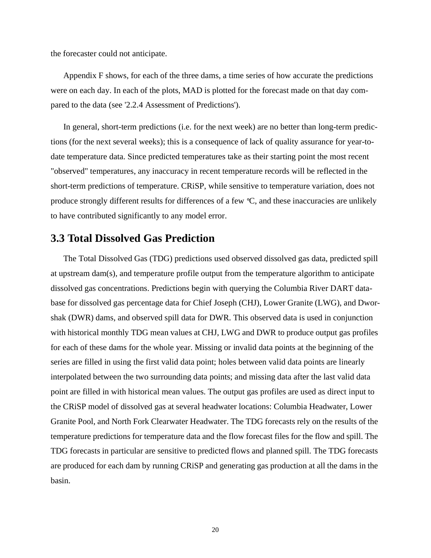<span id="page-19-0"></span>the forecaster could not anticipate.

[Appendix F](#page-57-0) shows, for each of the three dams, a time series of how accurate the predictions were on each day. In each of the plots, MAD is plotted for the forecast made on that day compared to the data (see ['2.2.4 Assessment of Predictions'](#page-12-0)).

In general, short-term predictions (i.e. for the next week) are no better than long-term predictions (for the next several weeks); this is a consequence of lack of quality assurance for year-todate temperature data. Since predicted temperatures take as their starting point the most recent "observed" temperatures, any inaccuracy in recent temperature records will be reflected in the short-term predictions of temperature. CRiSP, while sensitive to temperature variation, does not produce strongly different results for differences of a few °C, and these inaccuracies are unlikely to have contributed significantly to any model error.

### **3.3 Total Dissolved Gas Prediction**

The Total Dissolved Gas (TDG) predictions used observed dissolved gas data, predicted spill at upstream dam(s), and temperature profile output from the temperature algorithm to anticipate dissolved gas concentrations. Predictions begin with querying the Columbia River DART database for dissolved gas percentage data for Chief Joseph (CHJ), Lower Granite (LWG), and Dworshak (DWR) dams, and observed spill data for DWR. This observed data is used in conjunction with historical monthly TDG mean values at CHJ, LWG and DWR to produce output gas profiles for each of these dams for the whole year. Missing or invalid data points at the beginning of the series are filled in using the first valid data point; holes between valid data points are linearly interpolated between the two surrounding data points; and missing data after the last valid data point are filled in with historical mean values. The output gas profiles are used as direct input to the CRiSP model of dissolved gas at several headwater locations: Columbia Headwater, Lower Granite Pool, and North Fork Clearwater Headwater. The TDG forecasts rely on the results of the temperature predictions for temperature data and the flow forecast files for the flow and spill. The TDG forecasts in particular are sensitive to predicted flows and planned spill. The TDG forecasts are produced for each dam by running CRiSP and generating gas production at all the dams in the basin.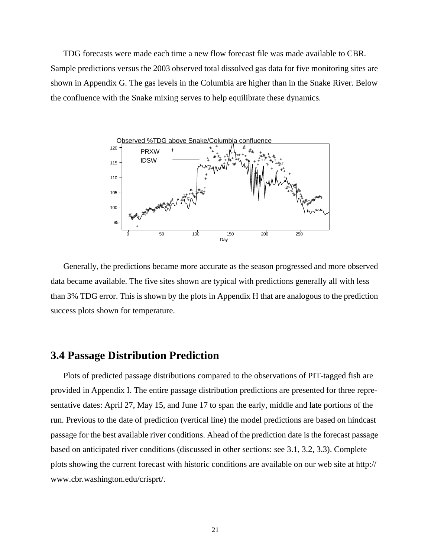TDG forecasts were made each time a new flow forecast file was made available to CBR. Sample predictions versus the 2003 observed total dissolved gas data for five monitoring sites are shown in [Appendix G](#page-59-0). The gas levels in the Columbia are higher than in the Snake River. Below the confluence with the Snake mixing serves to help equilibrate these dynamics.



Generally, the predictions became more accurate as the season progressed and more observed data became available. The five sites shown are typical with predictions generally all with less than 3% TDG error. This is shown by the plots in [Appendix H](#page-63-0) that are analogous to the prediction success plots shown for temperature.

### **3.4 Passage Distribution Prediction**

Plots of predicted passage distributions compared to the observations of PIT-tagged fish are provided in [Appendix I](#page-65-0). The entire passage distribution predictions are presented for three representative dates: April 27, May 15, and June 17 to span the early, middle and late portions of the run. Previous to the date of prediction (vertical line) the model predictions are based on hindcast passage for the best available river conditions. Ahead of the prediction date is the forecast passage based on anticipated river conditions (discussed in other sections: see [3.1](#page-17-0), [3.2](#page-17-0), [3.3](#page-19-0)). Complete plots showing the current forecast with historic conditions are available on our web site at http:// www.cbr.washington.edu/crisprt/.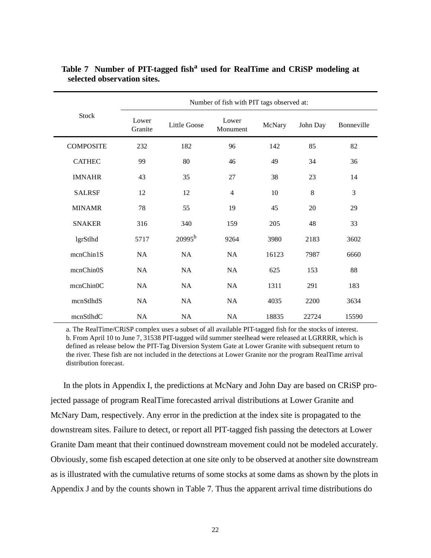|                  | Number of fish with PIT tags observed at: |              |                   |        |          |            |  |
|------------------|-------------------------------------------|--------------|-------------------|--------|----------|------------|--|
| <b>Stock</b>     | Lower<br>Granite                          | Little Goose | Lower<br>Monument | McNary | John Day | Bonneville |  |
| <b>COMPOSITE</b> | 232                                       | 182          | 96                | 142    | 85       | 82         |  |
| <b>CATHEC</b>    | 99                                        | 80           | 46                | 49     | 34       | 36         |  |
| <b>IMNAHR</b>    | 43                                        | 35           | 27                | 38     | 23       | 14         |  |
| <b>SALRSF</b>    | 12                                        | 12           | $\overline{4}$    | 10     | 8        | 3          |  |
| <b>MINAMR</b>    | 78                                        | 55           | 19                | 45     | 20       | 29         |  |
| <b>SNAKER</b>    | 316                                       | 340          | 159               | 205    | 48       | 33         |  |
| lgrStlhd         | 5717                                      | $20995^{b}$  | 9264              | 3980   | 2183     | 3602       |  |
| mcnChin1S        | NA                                        | NA           | NA                | 16123  | 7987     | 6660       |  |
| mcnChin0S        | NA                                        | NA           | NA                | 625    | 153      | 88         |  |
| mcnChin0C        | NA                                        | NA           | NA                | 1311   | 291      | 183        |  |
| mcnStlhdS        | NA                                        | NA           | NA                | 4035   | 2200     | 3634       |  |
| mcnStlhdC        | NA                                        | NA           | NA                | 18835  | 22724    | 15590      |  |

**Table 7 Number of PIT-tagged fish<sup>a</sup> used for RealTime and CRiSP modeling at selected observation sites.**

a. The RealTime/CRiSP complex uses a subset of all available PIT-tagged fish for the stocks of interest. b. From April 10 to June 7, 31538 PIT-tagged wild summer steelhead were released at LGRRRR, which is defined as release below the PIT-Tag Diversion System Gate at Lower Granite with subsequent return to the river. These fish are not included in the detections at Lower Granite nor the program RealTime arrival distribution forecast.

In the plots in [Appendix I](#page-65-0), the predictions at McNary and John Day are based on CRiSP projected passage of program RealTime forecasted arrival distributions at Lower Granite and McNary Dam, respectively. Any error in the prediction at the index site is propagated to the downstream sites. Failure to detect, or report all PIT-tagged fish passing the detectors at Lower Granite Dam meant that their continued downstream movement could not be modeled accurately. Obviously, some fish escaped detection at one site only to be observed at another site downstream as is illustrated with the cumulative returns of some stocks at some dams as shown by the plots in Appendix J and by the counts shown in Table 7. Thus the apparent arrival time distributions do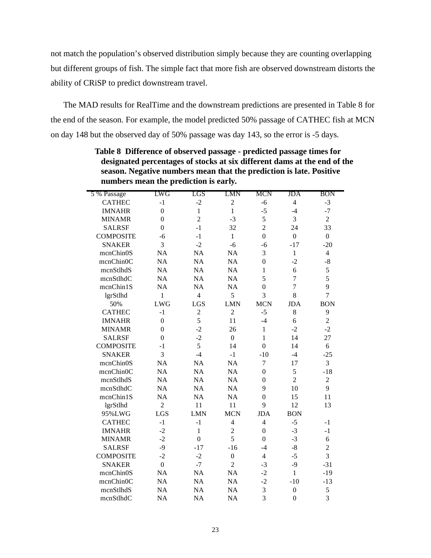<span id="page-22-0"></span>not match the population's observed distribution simply because they are counting overlapping but different groups of fish. The simple fact that more fish are observed downstream distorts the ability of CRiSP to predict downstream travel.

The MAD results for RealTime and the downstream predictions are presented in Table 8 for the end of the season. For example, the model predicted 50% passage of CATHEC fish at MCN on day 148 but the observed day of 50% passage was day 143, so the error is -5 days.

| 5 % Passage      | LWG            | LGS              | LMN            | <b>MCN</b>       | JDA            | <b>BON</b>       |
|------------------|----------------|------------------|----------------|------------------|----------------|------------------|
| <b>CATHEC</b>    | $-1$           | $-2$             | $\overline{c}$ | $-6$             | $\overline{4}$ | $-3$             |
| <b>IMNAHR</b>    | $\overline{0}$ | $\mathbf{1}$     | $\mathbf{1}$   | $-5$             | $-4$           | $-7$             |
| <b>MINAMR</b>    | $\overline{0}$ | $\overline{2}$   | $-3$           | 5                | 3              | $\overline{2}$   |
| <b>SALRSF</b>    | $\theta$       | $-1$             | 32             | $\overline{2}$   | 24             | 33               |
| <b>COMPOSITE</b> | $-6$           | $-1$             | $\mathbf{1}$   | $\overline{0}$   | $\overline{0}$ | $\boldsymbol{0}$ |
| <b>SNAKER</b>    | 3              | $-2$             | $-6$           | $-6$             | $-17$          | $-20$            |
| mcnChin0S        | <b>NA</b>      | <b>NA</b>        | <b>NA</b>      | $\overline{3}$   | $\mathbf{1}$   | $\overline{4}$   |
| mcnChin0C        | <b>NA</b>      | NA               | NA             | $\overline{0}$   | $-2$           | $-8$             |
| mcnStlhdS        | <b>NA</b>      | <b>NA</b>        | <b>NA</b>      | 1                | 6              | 5                |
| mcnStlhdC        | <b>NA</b>      | <b>NA</b>        | <b>NA</b>      | 5                | $\overline{7}$ | 5                |
| mcnChin1S        | <b>NA</b>      | <b>NA</b>        | <b>NA</b>      | $\overline{0}$   | $\overline{7}$ | 9                |
| lgrStlhd         | 1              | $\overline{4}$   | 5              | $\overline{3}$   | 8              | $\overline{7}$   |
| 50%              | <b>LWG</b>     | LGS              | <b>LMN</b>     | <b>MCN</b>       | <b>JDA</b>     | <b>BON</b>       |
| <b>CATHEC</b>    | $-1$           | $\overline{c}$   | $\overline{c}$ | $-5$             | 8              | 9                |
| <b>IMNAHR</b>    | $\theta$       | 5                | 11             | $-4$             | 6              | $\overline{c}$   |
| <b>MINAMR</b>    | $\theta$       | $-2$             | 26             | $\mathbf{1}$     | $-2$           | $-2$             |
| <b>SALRSF</b>    | $\theta$       | $-2$             | $\overline{0}$ | 1                | 14             | 27               |
| <b>COMPOSITE</b> | $-1$           | 5                | 14             | $\overline{0}$   | 14             | 6                |
| <b>SNAKER</b>    | $\overline{3}$ | $-4$             | $-1$           | $-10$            | $-4$           | $-25$            |
| mcnChin0S        | <b>NA</b>      | <b>NA</b>        | <b>NA</b>      | $\overline{7}$   | 17             | 3                |
| mcnChin0C        | <b>NA</b>      | <b>NA</b>        | <b>NA</b>      | $\overline{0}$   | 5              | $-18$            |
| mcnStlhdS        | <b>NA</b>      | NA               | <b>NA</b>      | $\theta$         | $\overline{2}$ | $\overline{c}$   |
| mcnStlhdC        | <b>NA</b>      | NA               | <b>NA</b>      | 9                | 10             | 9                |
| mcnChin1S        | <b>NA</b>      | <b>NA</b>        | <b>NA</b>      | $\overline{0}$   | 15             | 11               |
| lgrStlhd         | $\overline{c}$ | 11               | 11             | 9                | 12             | 13               |
| 95%LWG           | LGS            | <b>LMN</b>       | <b>MCN</b>     | <b>JDA</b>       | <b>BON</b>     |                  |
| <b>CATHEC</b>    | $-1$           | $-1$             | $\overline{4}$ | $\overline{4}$   | $-5$           | $-1$             |
| <b>IMNAHR</b>    | $-2$           | $\mathbf{1}$     | $\overline{c}$ | $\boldsymbol{0}$ | $-3$           | $-1$             |
| <b>MINAMR</b>    | $-2$           | $\boldsymbol{0}$ | 5              | $\boldsymbol{0}$ | $-3$           | 6                |
| <b>SALRSF</b>    | $-9$           | $-17$            | $-16$          | $-4$             | $-8$           | $\overline{2}$   |
| <b>COMPOSITE</b> | $-2$           | $-2$             | $\overline{0}$ | $\overline{4}$   | $-5$           | $\overline{3}$   |
| <b>SNAKER</b>    | $\overline{0}$ | $-7$             | $\overline{2}$ | $-3$             | $-9$           | $-31$            |
| mcnChin0S        | <b>NA</b>      | <b>NA</b>        | <b>NA</b>      | $-2$             | $\mathbf{1}$   | $-19$            |
| mcnChin0C        | <b>NA</b>      | <b>NA</b>        | <b>NA</b>      | $-2$             | $-10$          | $-13$            |
| mcnStlhdS        | <b>NA</b>      | <b>NA</b>        | <b>NA</b>      | 3                | $\overline{0}$ | 5                |
| mcnStlhdC        | NA             | NA               | <b>NA</b>      | $\overline{3}$   | $\overline{0}$ | $\overline{3}$   |

**Table 8 Difference of observed passage - predicted passage times for designated percentages of stocks at six different dams at the end of the season. Negative numbers mean that the prediction is late. Positive numbers mean the prediction is early.**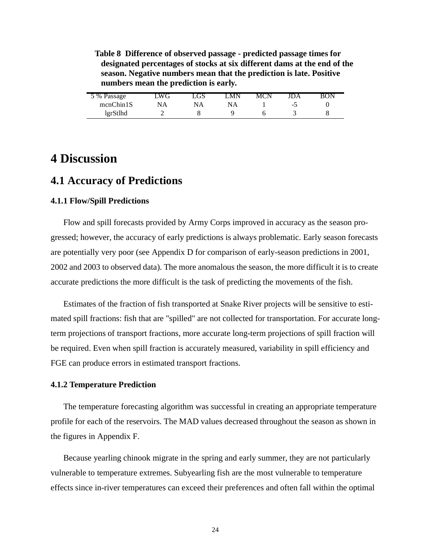**Table 8 Difference of observed passage - predicted passage times for designated percentages of stocks at six different dams at the end of the season. Negative numbers mean that the prediction is late. Positive numbers mean the prediction is early.**

| 5 % Passage | _WG | LGS. | MN | MCN | IDA | RON |
|-------------|-----|------|----|-----|-----|-----|
| mcnChin1S   | NA  | NΑ   |    |     | -7  |     |
| lgrStlhd    |     |      |    |     |     |     |

# **4 Discussion**

### **4.1 Accuracy of Predictions**

#### **4.1.1 Flow/Spill Predictions**

Flow and spill forecasts provided by Army Corps improved in accuracy as the season progressed; however, the accuracy of early predictions is always problematic. Early season forecasts are potentially very poor (see [Appendix D](#page-51-0) for comparison of early-season predictions in 2001, 2002 and 2003 to observed data). The more anomalous the season, the more difficult it is to create accurate predictions the more difficult is the task of predicting the movements of the fish.

Estimates of the fraction of fish transported at Snake River projects will be sensitive to estimated spill fractions: fish that are "spilled" are not collected for transportation. For accurate longterm projections of transport fractions, more accurate long-term projections of spill fraction will be required. Even when spill fraction is accurately measured, variability in spill efficiency and FGE can produce errors in estimated transport fractions.

#### **4.1.2 Temperature Prediction**

The temperature forecasting algorithm was successful in creating an appropriate temperature profile for each of the reservoirs. The MAD values decreased throughout the season as shown in the figures in [Appendix F](#page-57-0).

Because yearling chinook migrate in the spring and early summer, they are not particularly vulnerable to temperature extremes. Subyearling fish are the most vulnerable to temperature effects since in-river temperatures can exceed their preferences and often fall within the optimal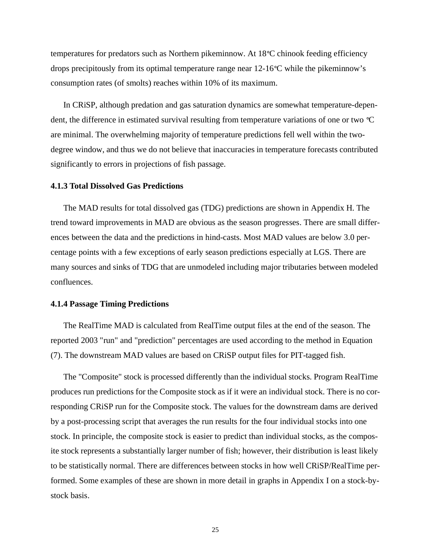temperatures for predators such as Northern pikeminnow. At 18°C chinook feeding efficiency drops precipitously from its optimal temperature range near 12-16°C while the pikeminnow's consumption rates (of smolts) reaches within 10% of its maximum.

In CRiSP, although predation and gas saturation dynamics are somewhat temperature-dependent, the difference in estimated survival resulting from temperature variations of one or two °C are minimal. The overwhelming majority of temperature predictions fell well within the twodegree window, and thus we do not believe that inaccuracies in temperature forecasts contributed significantly to errors in projections of fish passage.

#### **4.1.3 Total Dissolved Gas Predictions**

The MAD results for total dissolved gas (TDG) predictions are shown in [Appendix H](#page-63-0). The trend toward improvements in MAD are obvious as the season progresses. There are small differences between the data and the predictions in hind-casts. Most MAD values are below 3.0 percentage points with a few exceptions of early season predictions especially at LGS. There are many sources and sinks of TDG that are unmodeled including major tributaries between modeled confluences.

#### **4.1.4 Passage Timing Predictions**

The RealTime MAD is calculated from RealTime output files at the end of the season. The reported 2003 "run" and "prediction" percentages are used according to the method in Equation [\(7\).](#page-13-0) The downstream MAD values are based on CRiSP output files for PIT-tagged fish.

The "Composite" stock is processed differently than the individual stocks. Program RealTime produces run predictions for the Composite stock as if it were an individual stock. There is no corresponding CRiSP run for the Composite stock. The values for the downstream dams are derived by a post-processing script that averages the run results for the four individual stocks into one stock. In principle, the composite stock is easier to predict than individual stocks, as the composite stock represents a substantially larger number of fish; however, their distribution is least likely to be statistically normal. There are differences between stocks in how well CRiSP/RealTime performed. Some examples of these are shown in more detail in graphs i[n Appendix](#page-65-0) I on a stock-bystock basis.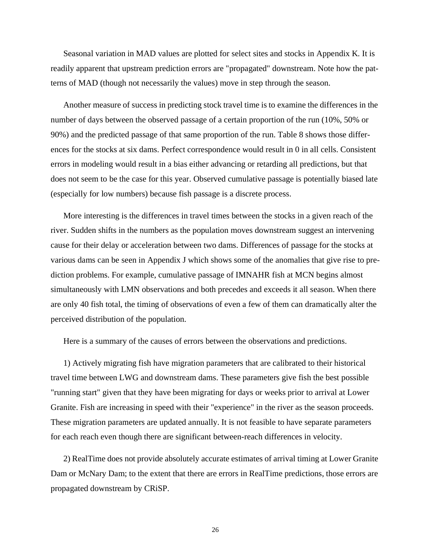Seasonal variation in MAD values are plotted for select sites and stocks i[n Appendix K](#page-85-0). It is readily apparent that upstream prediction errors are "propagated" downstream. Note how the patterns of MAD (though not necessarily the values) move in step through the season.

Another measure of success in predicting stock travel time is to examine the differences in the number of days between the observed passage of a certain proportion of the run (10%, 50% or 90%) and the predicted passage of that same proportion of the run. [Table 8](#page-22-0) shows those differences for the stocks at six dams. Perfect correspondence would result in 0 in all cells. Consistent errors in modeling would result in a bias either advancing or retarding all predictions, but that does not seem to be the case for this year. Observed cumulative passage is potentially biased late (especially for low numbers) because fish passage is a discrete process.

More interesting is the differences in travel times between the stocks in a given reach of the river. Sudden shifts in the numbers as the population moves downstream suggest an intervening cause for their delay or acceleration between two dams. Differences of passage for the stocks at various dams can be seen in Appendix J which shows some of the anomalies that give rise to prediction problems. For example, cumulative passage of IMNAHR fish at MCN begins almost simultaneously with LMN observations and both precedes and exceeds it all season. When there are only 40 fish total, the timing of observations of even a few of them can dramatically alter the perceived distribution of the population.

Here is a summary of the causes of errors between the observations and predictions.

1) Actively migrating fish have migration parameters that are calibrated to their historical travel time between LWG and downstream dams. These parameters give fish the best possible "running start" given that they have been migrating for days or weeks prior to arrival at Lower Granite. Fish are increasing in speed with their "experience" in the river as the season proceeds. These migration parameters are updated annually. It is not feasible to have separate parameters for each reach even though there are significant between-reach differences in velocity.

2) RealTime does not provide absolutely accurate estimates of arrival timing at Lower Granite Dam or McNary Dam; to the extent that there are errors in RealTime predictions, those errors are propagated downstream by CRiSP.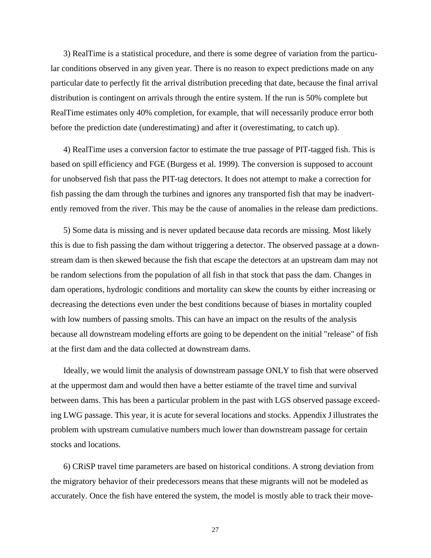3) RealTime is a statistical procedure, and there is some degree of variation from the particular conditions observed in any given year. There is no reason to expect predictions made on any particular date to perfectly fit the arrival distribution preceding that date, because the final arrival distribution is contingent on arrivals through the entire system. If the run is 50% complete but RealTime estimates only 40% completion, for example, that will necessarily produce error both before the prediction date (underestimating) and after it (overestimating, to catch up).

4) RealTime uses a conversion factor to estimate the true passage of PIT-tagged fish. This is based on spill efficiency and FGE (Burgess et al. 1999). The conversion is supposed to account for unobserved fish that pass the PIT-tag detectors. It does not attempt to make a correction for fish passing the dam through the turbines and ignores any transported fish that may be inadvertently removed from the river. This may be the cause of anomalies in the release dam predictions.

5) Some data is missing and is never updated because data records are missing. Most likely this is due to fish passing the dam without triggering a detector. The observed passage at a downstream dam is then skewed because the fish that escape the detectors at an upstream dam may not be random selections from the population of all fish in that stock that pass the dam. Changes in dam operations, hydrologic conditions and mortality can skew the counts by either increasing or decreasing the detections even under the best conditions because of biases in mortality coupled with low numbers of passing smolts. This can have an impact on the results of the analysis because all downstream modeling efforts are going to be dependent on the initial "release" of fish at the first dam and the data collected at downstream dams.

Ideally, we would limit the analysis of downstream passage ONLY to fish that were observed at the uppermost dam and would then have a better estiamte of the travel time and survival between dams. This has been a particular problem in the past with LGS observed passage exceeding LWG passage. This year, it is acute for several locations and stocks. Appendix J illustrates the problem with upstream cumulative numbers much lower than downstream passage for certain stocks and locations.

6) CRiSP travel time parameters are based on historical conditions. A strong deviation from the migratory behavior of their predecessors means that these migrants will not be modeled as accurately. Once the fish have entered the system, the model is mostly able to track their move-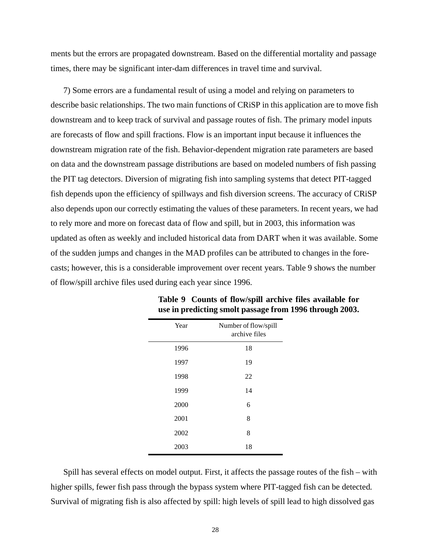ments but the errors are propagated downstream. Based on the differential mortality and passage times, there may be significant inter-dam differences in travel time and survival.

7) Some errors are a fundamental result of using a model and relying on parameters to describe basic relationships. The two main functions of CRiSP in this application are to move fish downstream and to keep track of survival and passage routes of fish. The primary model inputs are forecasts of flow and spill fractions. Flow is an important input because it influences the downstream migration rate of the fish. Behavior-dependent migration rate parameters are based on data and the downstream passage distributions are based on modeled numbers of fish passing the PIT tag detectors. Diversion of migrating fish into sampling systems that detect PIT-tagged fish depends upon the efficiency of spillways and fish diversion screens. The accuracy of CRiSP also depends upon our correctly estimating the values of these parameters. In recent years, we had to rely more and more on forecast data of flow and spill, but in 2003, this information was updated as often as weekly and included historical data from DART when it was available. Some of the sudden jumps and changes in the MAD profiles can be attributed to changes in the forecasts; however, this is a considerable improvement over recent years. Table 9 shows the number of flow/spill archive files used during each year since 1996.

| Year | Number of flow/spill<br>archive files |
|------|---------------------------------------|
| 1996 | 18                                    |
| 1997 | 19                                    |
| 1998 | 22                                    |
| 1999 | 14                                    |
| 2000 | 6                                     |
| 2001 | 8                                     |
| 2002 | 8                                     |
| 2003 | 18                                    |
|      |                                       |

**Table 9 Counts of flow/spill archive files available for use in predicting smolt passage from 1996 through 2003.**

Spill has several effects on model output. First, it affects the passage routes of the fish – with higher spills, fewer fish pass through the bypass system where PIT-tagged fish can be detected. Survival of migrating fish is also affected by spill: high levels of spill lead to high dissolved gas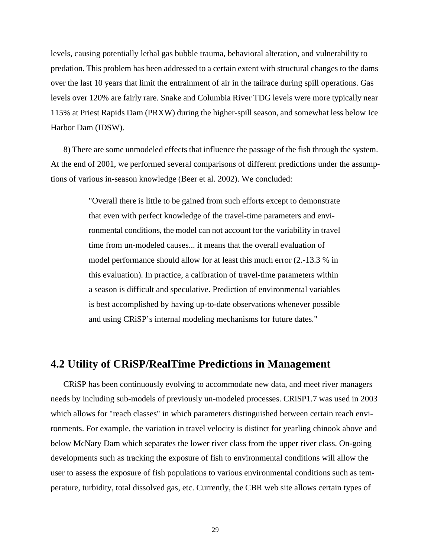levels, causing potentially lethal gas bubble trauma, behavioral alteration, and vulnerability to predation. This problem has been addressed to a certain extent with structural changes to the dams over the last 10 years that limit the entrainment of air in the tailrace during spill operations. Gas levels over 120% are fairly rare. Snake and Columbia River TDG levels were more typically near 115% at Priest Rapids Dam (PRXW) during the higher-spill season, and somewhat less below Ice Harbor Dam (IDSW).

8) There are some unmodeled effects that influence the passage of the fish through the system. At the end of 2001, we performed several comparisons of different predictions under the assumptions of various in-season knowledge (Beer et al. 2002). We concluded:

> "Overall there is little to be gained from such efforts except to demonstrate that even with perfect knowledge of the travel-time parameters and environmental conditions, the model can not account for the variability in travel time from un-modeled causes... it means that the overall evaluation of model performance should allow for at least this much error (2.-13.3 % in this evaluation). In practice, a calibration of travel-time parameters within a season is difficult and speculative. Prediction of environmental variables is best accomplished by having up-to-date observations whenever possible and using CRiSP's internal modeling mechanisms for future dates."

### **4.2 Utility of CRiSP/RealTime Predictions in Management**

CRiSP has been continuously evolving to accommodate new data, and meet river managers needs by including sub-models of previously un-modeled processes. CRiSP1.7 was used in 2003 which allows for "reach classes" in which parameters distinguished between certain reach environments. For example, the variation in travel velocity is distinct for yearling chinook above and below McNary Dam which separates the lower river class from the upper river class. On-going developments such as tracking the exposure of fish to environmental conditions will allow the user to assess the exposure of fish populations to various environmental conditions such as temperature, turbidity, total dissolved gas, etc. Currently, the CBR web site allows certain types of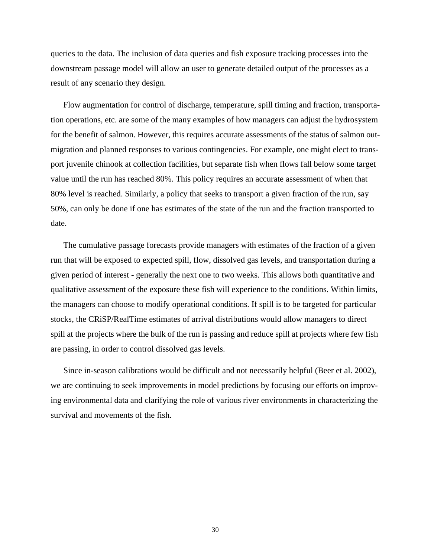queries to the data. The inclusion of data queries and fish exposure tracking processes into the downstream passage model will allow an user to generate detailed output of the processes as a result of any scenario they design.

Flow augmentation for control of discharge, temperature, spill timing and fraction, transportation operations, etc. are some of the many examples of how managers can adjust the hydrosystem for the benefit of salmon. However, this requires accurate assessments of the status of salmon outmigration and planned responses to various contingencies. For example, one might elect to transport juvenile chinook at collection facilities, but separate fish when flows fall below some target value until the run has reached 80%. This policy requires an accurate assessment of when that 80% level is reached. Similarly, a policy that seeks to transport a given fraction of the run, say 50%, can only be done if one has estimates of the state of the run and the fraction transported to date.

The cumulative passage forecasts provide managers with estimates of the fraction of a given run that will be exposed to expected spill, flow, dissolved gas levels, and transportation during a given period of interest - generally the next one to two weeks. This allows both quantitative and qualitative assessment of the exposure these fish will experience to the conditions. Within limits, the managers can choose to modify operational conditions. If spill is to be targeted for particular stocks, the CRiSP/RealTime estimates of arrival distributions would allow managers to direct spill at the projects where the bulk of the run is passing and reduce spill at projects where few fish are passing, in order to control dissolved gas levels.

Since in-season calibrations would be difficult and not necessarily helpful (Beer et al. 2002), we are continuing to seek improvements in model predictions by focusing our efforts on improving environmental data and clarifying the role of various river environments in characterizing the survival and movements of the fish.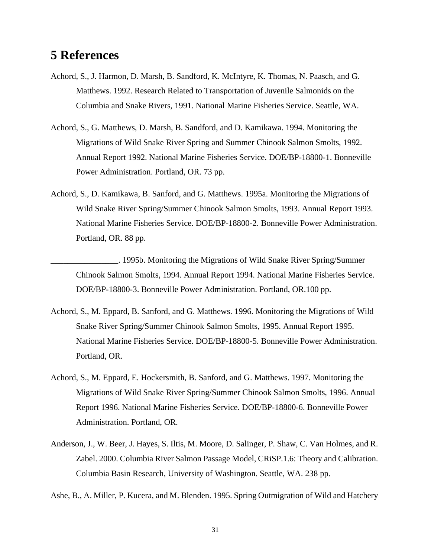# **5 References**

- Achord, S., J. Harmon, D. Marsh, B. Sandford, K. McIntyre, K. Thomas, N. Paasch, and G. Matthews. 1992. Research Related to Transportation of Juvenile Salmonids on the Columbia and Snake Rivers, 1991. National Marine Fisheries Service. Seattle, WA.
- Achord, S., G. Matthews, D. Marsh, B. Sandford, and D. Kamikawa. 1994. Monitoring the Migrations of Wild Snake River Spring and Summer Chinook Salmon Smolts, 1992. Annual Report 1992. National Marine Fisheries Service. DOE/BP-18800-1. Bonneville Power Administration. Portland, OR. 73 pp.
- Achord, S., D. Kamikawa, B. Sanford, and G. Matthews. 1995a. Monitoring the Migrations of Wild Snake River Spring/Summer Chinook Salmon Smolts, 1993. Annual Report 1993. National Marine Fisheries Service. DOE/BP-18800-2. Bonneville Power Administration. Portland, OR. 88 pp.

\_\_\_\_\_\_\_\_\_\_\_\_\_\_\_\_. 1995b. Monitoring the Migrations of Wild Snake River Spring/Summer Chinook Salmon Smolts, 1994. Annual Report 1994. National Marine Fisheries Service. DOE/BP-18800-3. Bonneville Power Administration. Portland, OR.100 pp.

- Achord, S., M. Eppard, B. Sanford, and G. Matthews. 1996. Monitoring the Migrations of Wild Snake River Spring/Summer Chinook Salmon Smolts, 1995. Annual Report 1995. National Marine Fisheries Service. DOE/BP-18800-5. Bonneville Power Administration. Portland, OR.
- Achord, S., M. Eppard, E. Hockersmith, B. Sanford, and G. Matthews. 1997. Monitoring the Migrations of Wild Snake River Spring/Summer Chinook Salmon Smolts, 1996. Annual Report 1996. National Marine Fisheries Service. DOE/BP-18800-6. Bonneville Power Administration. Portland, OR.
- Anderson, J., W. Beer, J. Hayes, S. Iltis, M. Moore, D. Salinger, P. Shaw, C. Van Holmes, and R. Zabel. 2000. Columbia River Salmon Passage Model, CRiSP.1.6: Theory and Calibration. Columbia Basin Research, University of Washington. Seattle, WA. 238 pp.

Ashe, B., A. Miller, P. Kucera, and M. Blenden. 1995. Spring Outmigration of Wild and Hatchery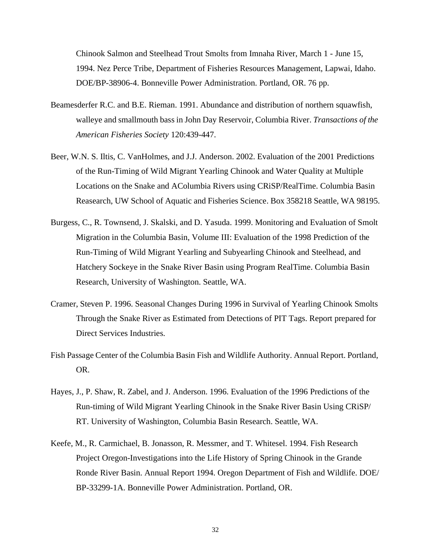Chinook Salmon and Steelhead Trout Smolts from Imnaha River, March 1 - June 15, 1994. Nez Perce Tribe, Department of Fisheries Resources Management, Lapwai, Idaho. DOE/BP-38906-4. Bonneville Power Administration. Portland, OR. 76 pp.

- Beamesderfer R.C. and B.E. Rieman. 1991. Abundance and distribution of northern squawfish, walleye and smallmouth bass in John Day Reservoir, Columbia River. *Transactions of the American Fisheries Society* 120:439-447.
- Beer, W.N. S. Iltis, C. VanHolmes, and J.J. Anderson. 2002. Evaluation of the 2001 Predictions of the Run-Timing of Wild Migrant Yearling Chinook and Water Quality at Multiple Locations on the Snake and AColumbia Rivers using CRiSP/RealTime. Columbia Basin Reasearch, UW School of Aquatic and Fisheries Science. Box 358218 Seattle, WA 98195.
- Burgess, C., R. Townsend, J. Skalski, and D. Yasuda. 1999. Monitoring and Evaluation of Smolt Migration in the Columbia Basin, Volume III: Evaluation of the 1998 Prediction of the Run-Timing of Wild Migrant Yearling and Subyearling Chinook and Steelhead, and Hatchery Sockeye in the Snake River Basin using Program RealTime. Columbia Basin Research, University of Washington. Seattle, WA.
- Cramer, Steven P. 1996. Seasonal Changes During 1996 in Survival of Yearling Chinook Smolts Through the Snake River as Estimated from Detections of PIT Tags. Report prepared for Direct Services Industries.
- Fish Passage Center of the Columbia Basin Fish and Wildlife Authority. Annual Report. Portland, OR.
- Hayes, J., P. Shaw, R. Zabel, and J. Anderson. 1996. Evaluation of the 1996 Predictions of the Run-timing of Wild Migrant Yearling Chinook in the Snake River Basin Using CRiSP/ RT. University of Washington, Columbia Basin Research. Seattle, WA.
- Keefe, M., R. Carmichael, B. Jonasson, R. Messmer, and T. Whitesel. 1994. Fish Research Project Oregon-Investigations into the Life History of Spring Chinook in the Grande Ronde River Basin. Annual Report 1994. Oregon Department of Fish and Wildlife. DOE/ BP-33299-1A. Bonneville Power Administration. Portland, OR.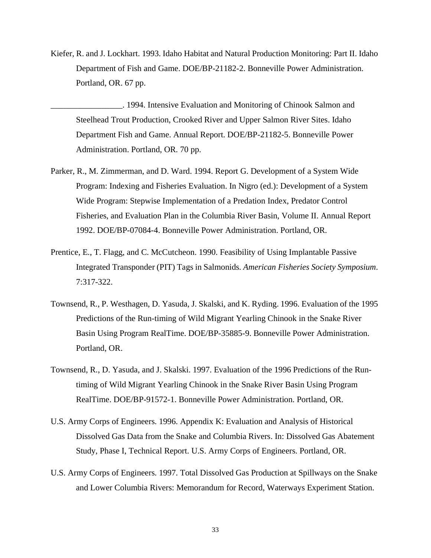Kiefer, R. and J. Lockhart. 1993. Idaho Habitat and Natural Production Monitoring: Part II. Idaho Department of Fish and Game. DOE/BP-21182-2. Bonneville Power Administration. Portland, OR. 67 pp.

\_\_\_\_\_\_\_\_\_\_\_\_\_\_\_\_\_. 1994. Intensive Evaluation and Monitoring of Chinook Salmon and Steelhead Trout Production, Crooked River and Upper Salmon River Sites. Idaho Department Fish and Game. Annual Report. DOE/BP-21182-5. Bonneville Power Administration. Portland, OR. 70 pp.

- Parker, R., M. Zimmerman, and D. Ward. 1994. Report G. Development of a System Wide Program: Indexing and Fisheries Evaluation. In Nigro (ed.): Development of a System Wide Program: Stepwise Implementation of a Predation Index, Predator Control Fisheries, and Evaluation Plan in the Columbia River Basin, Volume II. Annual Report 1992. DOE/BP-07084-4. Bonneville Power Administration. Portland, OR.
- Prentice, E., T. Flagg, and C. McCutcheon. 1990. Feasibility of Using Implantable Passive Integrated Transponder (PIT) Tags in Salmonids. *American Fisheries Society Symposium*. 7:317-322.
- Townsend, R., P. Westhagen, D. Yasuda, J. Skalski, and K. Ryding. 1996. Evaluation of the 1995 Predictions of the Run-timing of Wild Migrant Yearling Chinook in the Snake River Basin Using Program RealTime. DOE/BP-35885-9. Bonneville Power Administration. Portland, OR.
- Townsend, R., D. Yasuda, and J. Skalski. 1997. Evaluation of the 1996 Predictions of the Runtiming of Wild Migrant Yearling Chinook in the Snake River Basin Using Program RealTime. DOE/BP-91572-1. Bonneville Power Administration. Portland, OR.
- U.S. Army Corps of Engineers. 1996. Appendix K: Evaluation and Analysis of Historical Dissolved Gas Data from the Snake and Columbia Rivers. In: Dissolved Gas Abatement Study, Phase I, Technical Report. U.S. Army Corps of Engineers. Portland, OR.
- U.S. Army Corps of Engineers. 1997. Total Dissolved Gas Production at Spillways on the Snake and Lower Columbia Rivers: Memorandum for Record, Waterways Experiment Station.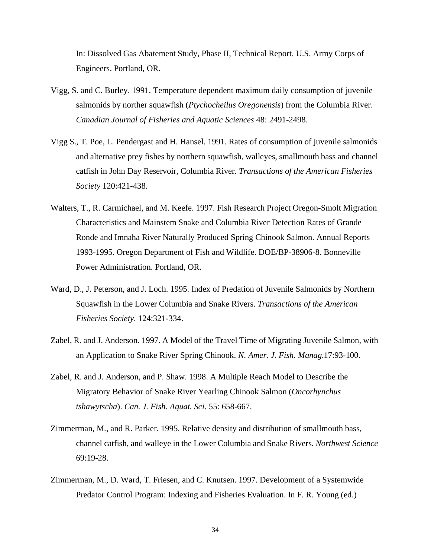In: Dissolved Gas Abatement Study, Phase II, Technical Report. U.S. Army Corps of Engineers. Portland, OR.

- Vigg, S. and C. Burley. 1991. Temperature dependent maximum daily consumption of juvenile salmonids by norther squawfish (*Ptychocheilus Oregonensis*) from the Columbia River. *Canadian Journal of Fisheries and Aquatic Sciences* 48: 2491-2498.
- Vigg S., T. Poe, L. Pendergast and H. Hansel. 1991. Rates of consumption of juvenile salmonids and alternative prey fishes by northern squawfish, walleyes, smallmouth bass and channel catfish in John Day Reservoir, Columbia River. *Transactions of the American Fisheries Society* 120:421-438.
- Walters, T., R. Carmichael, and M. Keefe. 1997. Fish Research Project Oregon-Smolt Migration Characteristics and Mainstem Snake and Columbia River Detection Rates of Grande Ronde and Imnaha River Naturally Produced Spring Chinook Salmon. Annual Reports 1993-1995. Oregon Department of Fish and Wildlife. DOE/BP-38906-8. Bonneville Power Administration. Portland, OR.
- Ward, D., J. Peterson, and J. Loch. 1995. Index of Predation of Juvenile Salmonids by Northern Squawfish in the Lower Columbia and Snake Rivers. *Transactions of the American Fisheries Society.* 124:321-334.
- Zabel, R. and J. Anderson. 1997. A Model of the Travel Time of Migrating Juvenile Salmon, with an Application to Snake River Spring Chinook. *N. Amer. J. Fish. Manag*.17:93-100.
- Zabel, R. and J. Anderson, and P. Shaw. 1998. A Multiple Reach Model to Describe the Migratory Behavior of Snake River Yearling Chinook Salmon (*Oncorhynchus tshawytscha*). *Can. J. Fish. Aquat. Sci*. 55: 658-667.
- Zimmerman, M., and R. Parker. 1995. Relative density and distribution of smallmouth bass, channel catfish, and walleye in the Lower Columbia and Snake Rivers. *Northwest Science* 69:19-28.
- Zimmerman, M., D. Ward, T. Friesen, and C. Knutsen. 1997. Development of a Systemwide Predator Control Program: Indexing and Fisheries Evaluation. In F. R. Young (ed.)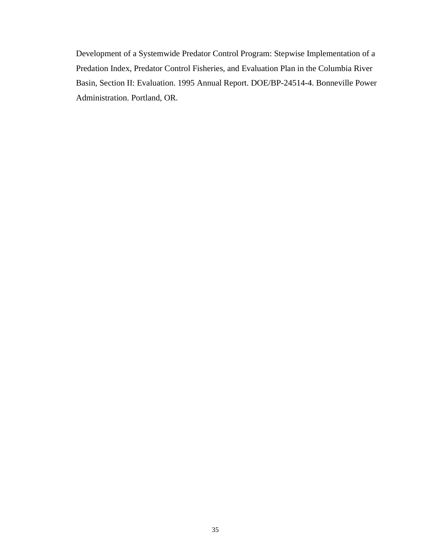Development of a Systemwide Predator Control Program: Stepwise Implementation of a Predation Index, Predator Control Fisheries, and Evaluation Plan in the Columbia River Basin, Section II: Evaluation. 1995 Annual Report. DOE/BP-24514-4. Bonneville Power Administration. Portland, OR.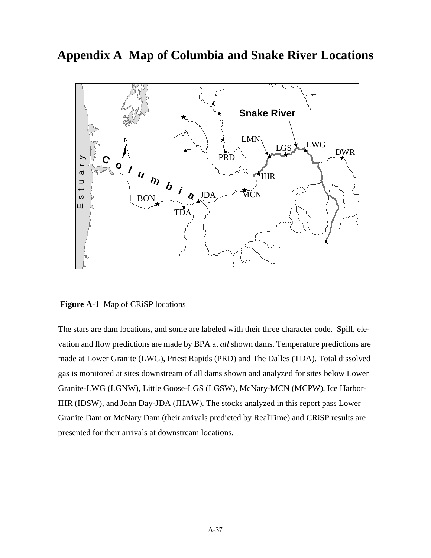**Appendix A Map of Columbia and Snake River Locations**



 **Figure A-1** Map of CRiSP locations

The stars are dam locations, and some are labeled with their three character code. Spill, elevation and flow predictions are made by BPA at *all* shown dams. Temperature predictions are made at Lower Granite (LWG), Priest Rapids (PRD) and The Dalles (TDA). Total dissolved gas is monitored at sites downstream of all dams shown and analyzed for sites below Lower Granite-LWG (LGNW), Little Goose-LGS (LGSW), McNary-MCN (MCPW), Ice Harbor-IHR (IDSW), and John Day-JDA (JHAW). The stocks analyzed in this report pass Lower Granite Dam or McNary Dam (their arrivals predicted by RealTime) and CRiSP results are presented for their arrivals at downstream locations.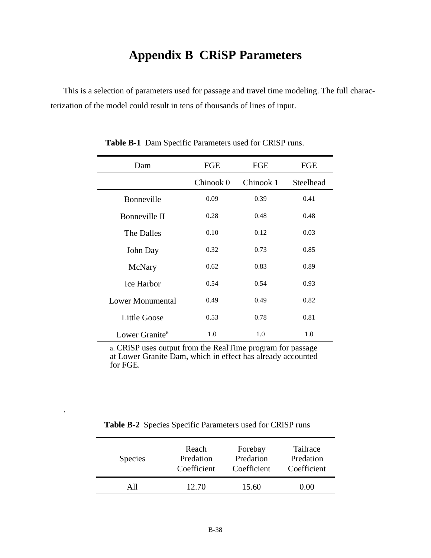## **Appendix B CRiSP Parameters**

This is a selection of parameters used for passage and travel time modeling. The full characterization of the model could result in tens of thousands of lines of input.

| Dam                        | FGE       | FGE       | FGE       |
|----------------------------|-----------|-----------|-----------|
|                            | Chinook 0 | Chinook 1 | Steelhead |
| Bonneville                 | 0.09      | 0.39      | 0.41      |
| Bonneville II              | 0.28      | 0.48      | 0.48      |
| The Dalles                 | 0.10      | 0.12      | 0.03      |
| John Day                   | 0.32      | 0.73      | 0.85      |
| McNary                     | 0.62      | 0.83      | 0.89      |
| <b>Ice Harbor</b>          | 0.54      | 0.54      | 0.93      |
| Lower Monumental           | 0.49      | 0.49      | 0.82      |
| Little Goose               | 0.53      | 0.78      | 0.81      |
| Lower Granite <sup>a</sup> | 1.0       | 1.0       | 1.0       |

**Table B-1** Dam Specific Parameters used for CRiSP runs.

a. CRiSP uses output from the RealTime program for passage at Lower Granite Dam, which in effect has already accounted for FGE.

Table B-2 Species Specific Parameters used for CRiSP runs

.

| <b>Species</b> | Reach       | Forebay     | Tailrace    |
|----------------|-------------|-------------|-------------|
|                | Predation   | Predation   | Predation   |
|                | Coefficient | Coefficient | Coefficient |
| ΑN             | 12.70       | 15.60       | J 00        |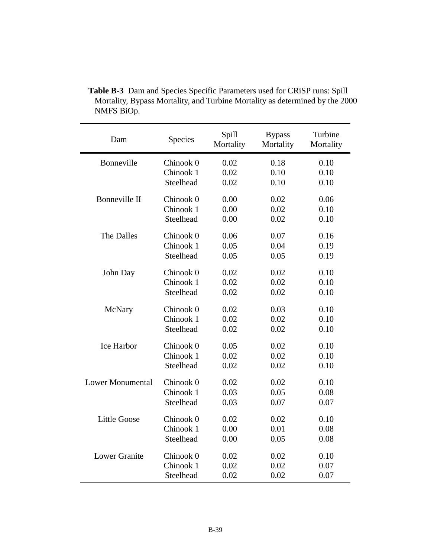| Dam                     | Species   | Spill<br>Mortality | <b>Bypass</b><br>Mortality | Turbine<br>Mortality |
|-------------------------|-----------|--------------------|----------------------------|----------------------|
| Bonneville              | Chinook 0 | 0.02               | 0.18                       | 0.10                 |
|                         | Chinook 1 | 0.02               | 0.10                       | 0.10                 |
|                         | Steelhead | 0.02               | 0.10                       | 0.10                 |
| Bonneville II           | Chinook 0 | 0.00               | 0.02                       | 0.06                 |
|                         | Chinook 1 | 0.00               | 0.02                       | 0.10                 |
|                         | Steelhead | 0.00               | 0.02                       | 0.10                 |
| The Dalles              | Chinook 0 | 0.06               | 0.07                       | 0.16                 |
|                         | Chinook 1 | 0.05               | 0.04                       | 0.19                 |
|                         | Steelhead | 0.05               | 0.05                       | 0.19                 |
| John Day                | Chinook 0 | 0.02               | 0.02                       | 0.10                 |
|                         | Chinook 1 | 0.02               | 0.02                       | 0.10                 |
|                         | Steelhead | 0.02               | 0.02                       | 0.10                 |
| McNary                  | Chinook 0 | 0.02               | 0.03                       | 0.10                 |
|                         | Chinook 1 | 0.02               | 0.02                       | 0.10                 |
|                         | Steelhead | 0.02               | 0.02                       | 0.10                 |
| Ice Harbor              | Chinook 0 | 0.05               | 0.02                       | 0.10                 |
|                         | Chinook 1 | 0.02               | 0.02                       | 0.10                 |
|                         | Steelhead | 0.02               | 0.02                       | 0.10                 |
| <b>Lower Monumental</b> | Chinook 0 | 0.02               | 0.02                       | 0.10                 |
|                         | Chinook 1 | 0.03               | 0.05                       | 0.08                 |
|                         | Steelhead | 0.03               | 0.07                       | 0.07                 |
| <b>Little Goose</b>     | Chinook 0 | 0.02               | 0.02                       | 0.10                 |
|                         | Chinook 1 | 0.00               | 0.01                       | 0.08                 |
|                         | Steelhead | 0.00               | 0.05                       | 0.08                 |
| <b>Lower Granite</b>    | Chinook 0 | 0.02               | 0.02                       | 0.10                 |
|                         | Chinook 1 | 0.02               | 0.02                       | 0.07                 |
|                         | Steelhead | 0.02               | 0.02                       | 0.07                 |

**Table B-3** Dam and Species Specific Parameters used for CRiSP runs: Spill Mortality, Bypass Mortality, and Turbine Mortality as determined by the 2000 NMFS BiOp.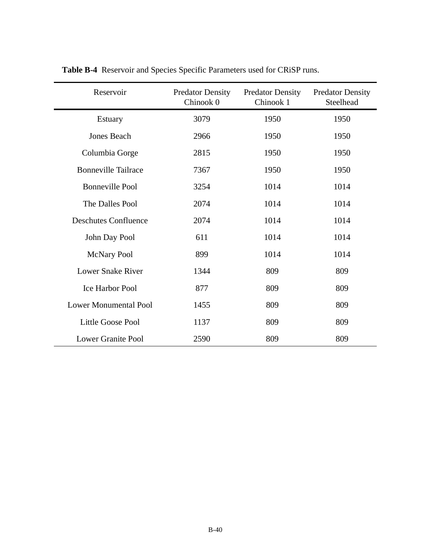| Reservoir                    | <b>Predator Density</b><br>Chinook 0 | <b>Predator Density</b><br>Chinook 1 | <b>Predator Density</b><br>Steelhead |
|------------------------------|--------------------------------------|--------------------------------------|--------------------------------------|
| Estuary                      | 3079                                 | 1950                                 | 1950                                 |
| Jones Beach                  | 2966                                 | 1950                                 | 1950                                 |
| Columbia Gorge               | 2815                                 | 1950                                 | 1950                                 |
| <b>Bonneville Tailrace</b>   | 7367                                 | 1950                                 | 1950                                 |
| <b>Bonneville Pool</b>       | 3254                                 | 1014                                 | 1014                                 |
| The Dalles Pool              | 2074                                 | 1014                                 | 1014                                 |
| <b>Deschutes Confluence</b>  | 2074                                 | 1014                                 | 1014                                 |
| John Day Pool                | 611                                  | 1014                                 | 1014                                 |
| <b>McNary Pool</b>           | 899                                  | 1014                                 | 1014                                 |
| <b>Lower Snake River</b>     | 1344                                 | 809                                  | 809                                  |
| Ice Harbor Pool              | 877                                  | 809                                  | 809                                  |
| <b>Lower Monumental Pool</b> | 1455                                 | 809                                  | 809                                  |
| Little Goose Pool            | 1137                                 | 809                                  | 809                                  |
| <b>Lower Granite Pool</b>    | 2590                                 | 809                                  | 809                                  |

**Table B-4** Reservoir and Species Specific Parameters used for CRiSP runs.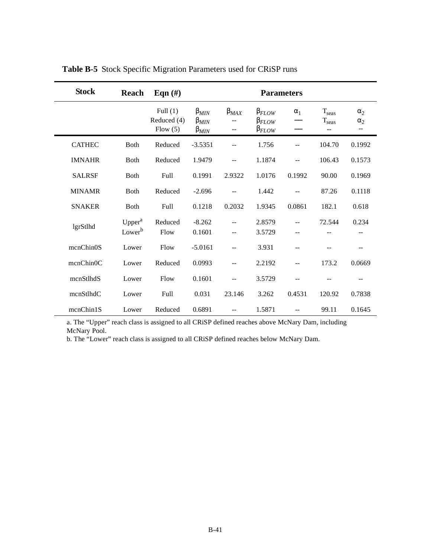| <b>Stock</b>  | Reach                                    | Eqn $(\#)$                           | <b>Parameters</b>                               |                          |                                                    |            |                                   |                                               |
|---------------|------------------------------------------|--------------------------------------|-------------------------------------------------|--------------------------|----------------------------------------------------|------------|-----------------------------------|-----------------------------------------------|
|               |                                          | Full $(1)$<br>Reduced (4)<br>Flow(5) | $\beta_{MIN}$<br>$\beta_{MIN}$<br>$\beta_{MIN}$ | $\beta_{MAX}$<br>--      | $\beta_{FLOW}$<br>$\beta_{FLOW}$<br>$\beta_{FLOW}$ | $\alpha_1$ | $T_{seas}$<br>$T_{seas}$<br>$- -$ | $\alpha_2$<br>$\alpha_2$<br>$\qquad \qquad -$ |
| <b>CATHEC</b> | <b>B</b> oth                             | Reduced                              | $-3.5351$                                       |                          | 1.756                                              |            | 104.70                            | 0.1992                                        |
| <b>IMNAHR</b> | <b>B</b> oth                             | Reduced                              | 1.9479                                          | --                       | 1.1874                                             | --         | 106.43                            | 0.1573                                        |
| <b>SALRSF</b> | <b>B</b> oth                             | <b>Full</b>                          | 0.1991                                          | 2.9322                   | 1.0176                                             | 0.1992     | 90.00                             | 0.1969                                        |
| <b>MINAMR</b> | <b>Both</b>                              | Reduced                              | $-2.696$                                        |                          | 1.442                                              | --         | 87.26                             | 0.1118                                        |
| <b>SNAKER</b> | <b>B</b> oth                             | Full                                 | 0.1218                                          | 0.2032                   | 1.9345                                             | 0.0861     | 182.1                             | 0.618                                         |
| lgrStlhd      | Upper <sup>a</sup><br>Lower <sup>b</sup> | Reduced<br>Flow                      | $-8.262$<br>0.1601                              | --                       | 2.8579<br>3.5729                                   | --         | 72.544                            | 0.234                                         |
| mcnChin0S     | Lower                                    | Flow                                 | $-5.0161$                                       |                          | 3.931                                              | --         |                                   |                                               |
| mcnChin0C     | Lower                                    | Reduced                              | 0.0993                                          | $\overline{\phantom{a}}$ | 2.2192                                             | --         | 173.2                             | 0.0669                                        |
| mcnStlhdS     | Lower                                    | Flow                                 | 0.1601                                          |                          | 3.5729                                             | --         |                                   |                                               |
| mcnStlhdC     | Lower                                    | Full                                 | 0.031                                           | 23.146                   | 3.262                                              | 0.4531     | 120.92                            | 0.7838                                        |
| mcnChin1S     | Lower                                    | Reduced                              | 0.6891                                          | $\qquad \qquad -$        | 1.5871                                             | $-$        | 99.11                             | 0.1645                                        |

**Table B-5** Stock Specific Migration Parameters used for CRiSP runs

a. The "Upper" reach class is assigned to all CRiSP defined reaches above McNary Dam, including McNary Pool.

b. The "Lower" reach class is assigned to all CRiSP defined reaches below McNary Dam.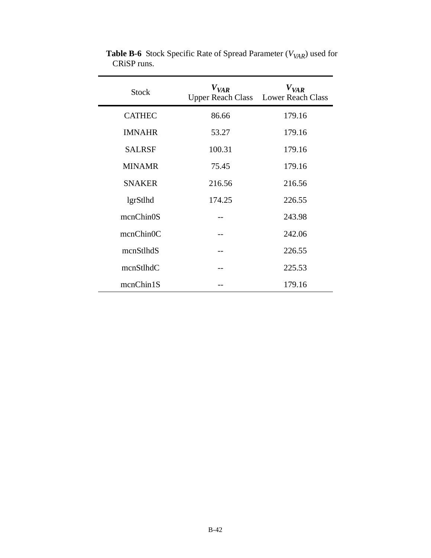| <b>Stock</b>  | $V_{VAR}$ | $V_{VAR}$<br>Upper Reach Class Lower Reach Class |
|---------------|-----------|--------------------------------------------------|
| <b>CATHEC</b> | 86.66     | 179.16                                           |
| <b>IMNAHR</b> | 53.27     | 179.16                                           |
| <b>SALRSF</b> | 100.31    | 179.16                                           |
| <b>MINAMR</b> | 75.45     | 179.16                                           |
| <b>SNAKER</b> | 216.56    | 216.56                                           |
| lgrStlhd      | 174.25    | 226.55                                           |
| mcnChin0S     |           | 243.98                                           |
| mcnChin0C     |           | 242.06                                           |
| mcnStlhdS     |           | 226.55                                           |
| mcnStlhdC     |           | 225.53                                           |
| mcnChin1S     |           | 179.16                                           |

**Table B-6** Stock Specific Rate of Spread Parameter ( $V_{VAR}$ ) used for CRiSP runs.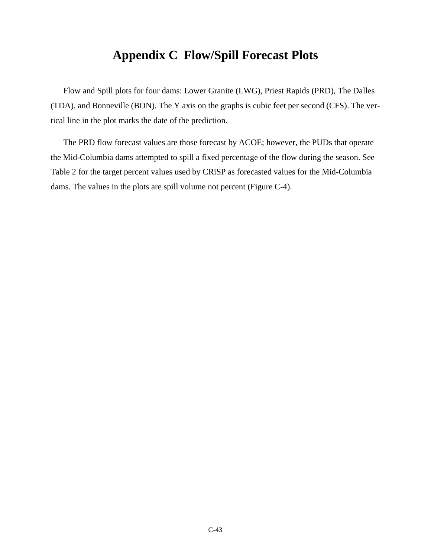### **Appendix C Flow/Spill Forecast Plots**

Flow and Spill plots for four dams: Lower Granite (LWG), Priest Rapids (PRD), The Dalles (TDA), and Bonneville (BON). The Y axis on the graphs is cubic feet per second (CFS). The vertical line in the plot marks the date of the prediction.

The PRD flow forecast values are those forecast by ACOE; however, the PUDs that operate the Mid-Columbia dams attempted to spill a fixed percentage of the flow during the season. See [Table 2](#page-6-0) for the target percent values used by CRiSP as forecasted values for the Mid-Columbia dams. The values in the plots are spill volume not percent [\(Figure C-4](#page-46-0)).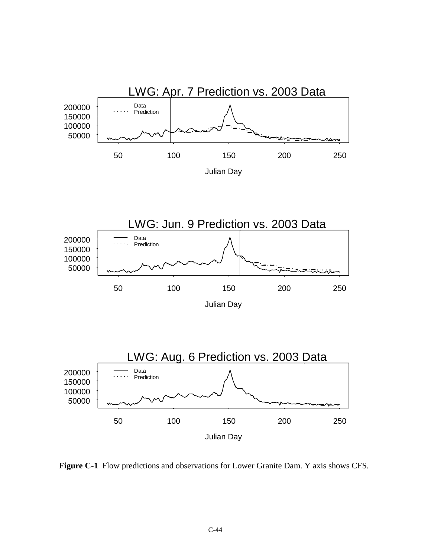

 **Figure C-1** Flow predictions and observations for Lower Granite Dam. Y axis shows CFS.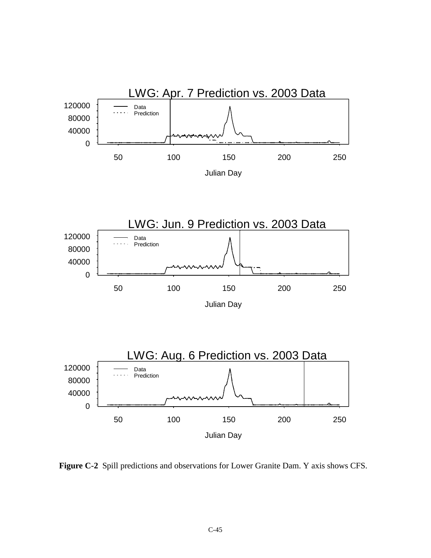







 **Figure C-2** Spill predictions and observations for Lower Granite Dam. Y axis shows CFS.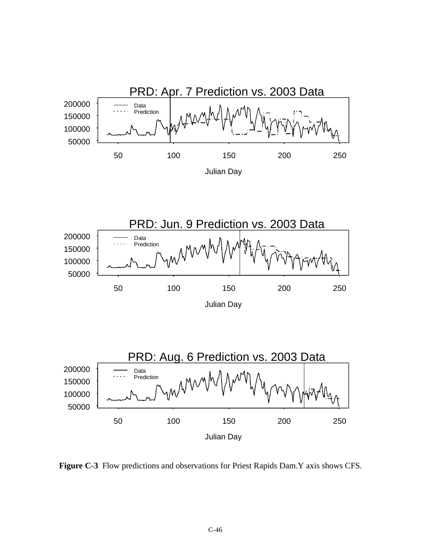





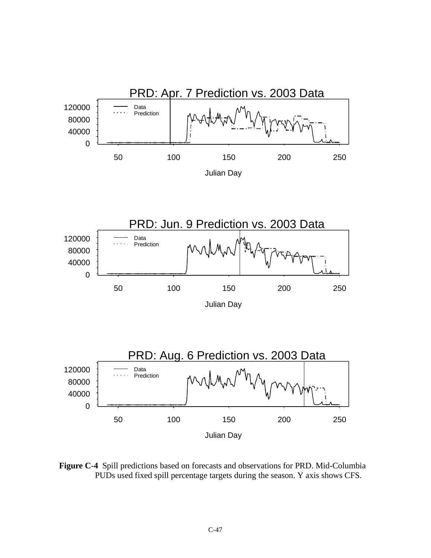<span id="page-46-0"></span>





 **Figure C-4** Spill predictions based on forecasts and observations for PRD. Mid-Columbia PUDs used fixed spill percentage targets during the season. Y axis shows CFS.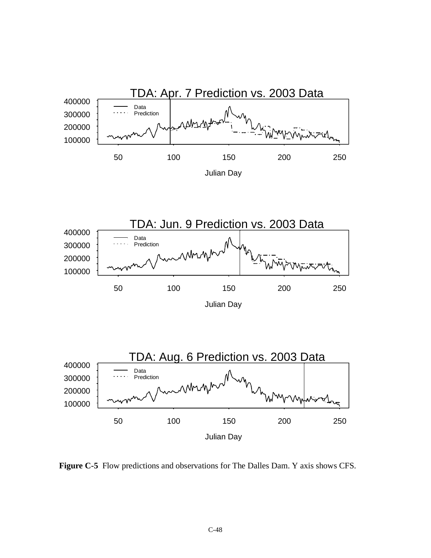



Julian Day



 **Figure C-5** Flow predictions and observations for The Dalles Dam. Y axis shows CFS.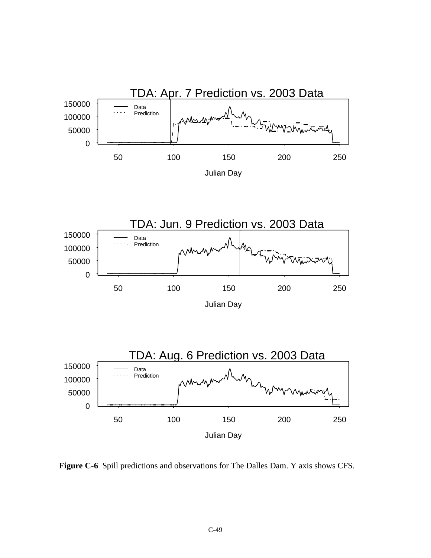







 **Figure C-6** Spill predictions and observations for The Dalles Dam. Y axis shows CFS.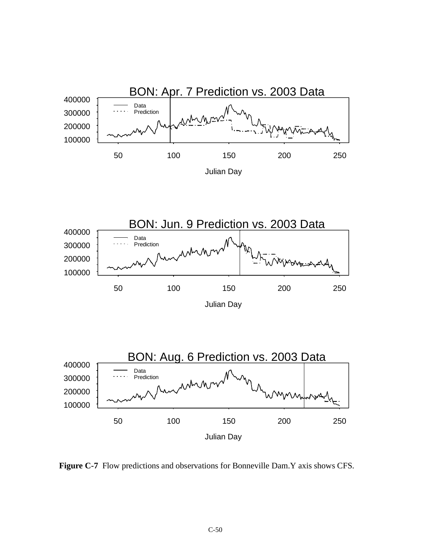



Julian Day



 **Figure C-7** Flow predictions and observations for Bonneville Dam.Y axis shows CFS.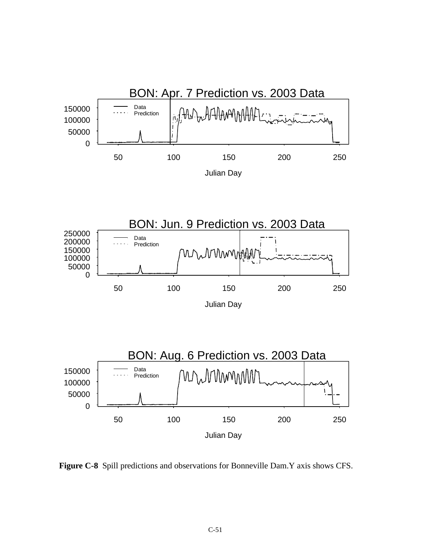





 **Figure C-8** Spill predictions and observations for Bonneville Dam.Y axis shows CFS.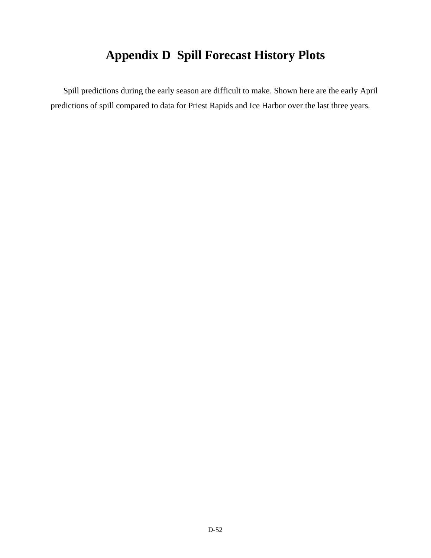# **Appendix D Spill Forecast History Plots**

Spill predictions during the early season are difficult to make. Shown here are the early April predictions of spill compared to data for Priest Rapids and Ice Harbor over the last three years.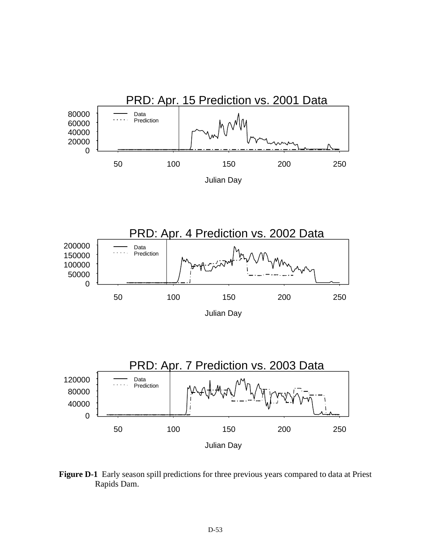





 **Figure D-1** Early season spill predictions for three previous years compared to data at Priest Rapids Dam.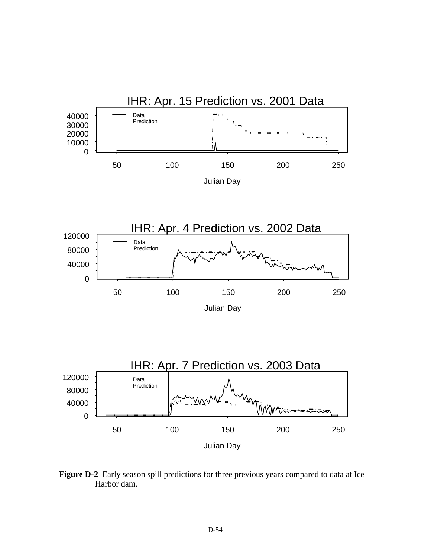

 **Figure D-2** Early season spill predictions for three previous years compared to data at Ice Harbor dam.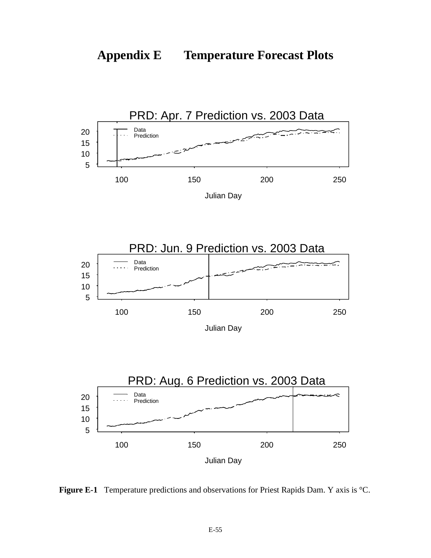







 **Figure E-1** Temperature predictions and observations for Priest Rapids Dam. Y axis is °C.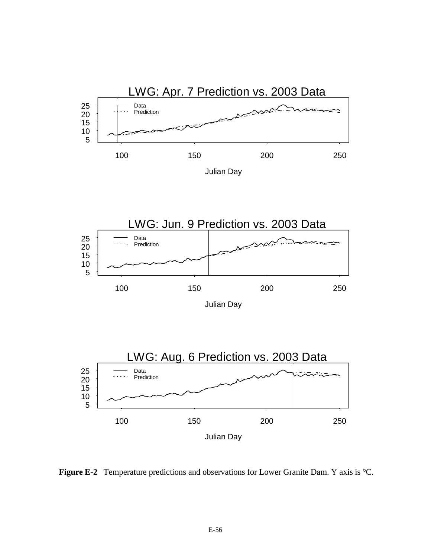





 **Figure E-2** Temperature predictions and observations for Lower Granite Dam. Y axis is °C.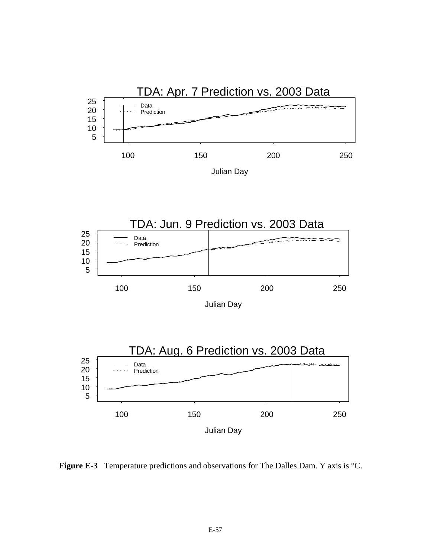





 **Figure E-3** Temperature predictions and observations for The Dalles Dam. Y axis is °C.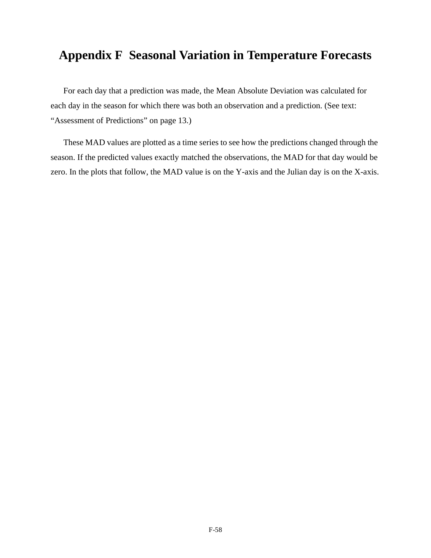#### **Appendix F Seasonal Variation in Temperature Forecasts**

For each day that a prediction was made, the Mean Absolute Deviation was calculated for each day in the season for which there was both an observation and a prediction. (See text: ["Assessment of Predictions" on page 13](#page-12-0).)

These MAD values are plotted as a time series to see how the predictions changed through the season. If the predicted values exactly matched the observations, the MAD for that day would be zero. In the plots that follow, the MAD value is on the Y-axis and the Julian day is on the X-axis.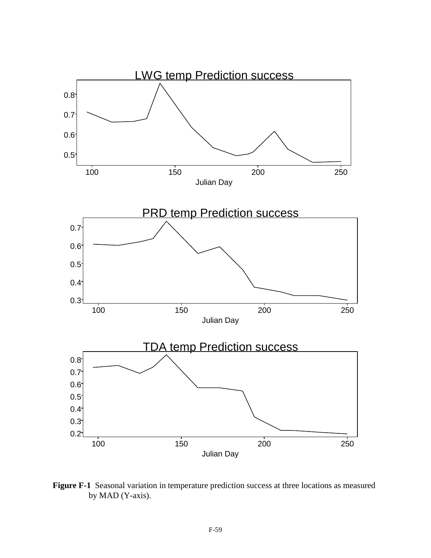

 **Figure F-1** Seasonal variation in temperature prediction success at three locations as measured by MAD (Y-axis).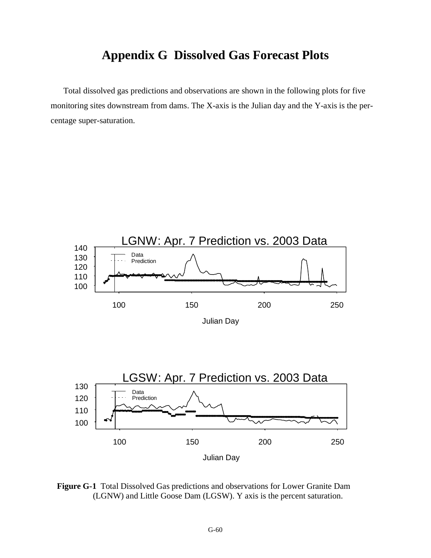#### **Appendix G Dissolved Gas Forecast Plots**

Total dissolved gas predictions and observations are shown in the following plots for five monitoring sites downstream from dams. The X-axis is the Julian day and the Y-axis is the percentage super-saturation.



 **Figure G-1** Total Dissolved Gas predictions and observations for Lower Granite Dam (LGNW) and Little Goose Dam (LGSW). Y axis is the percent saturation.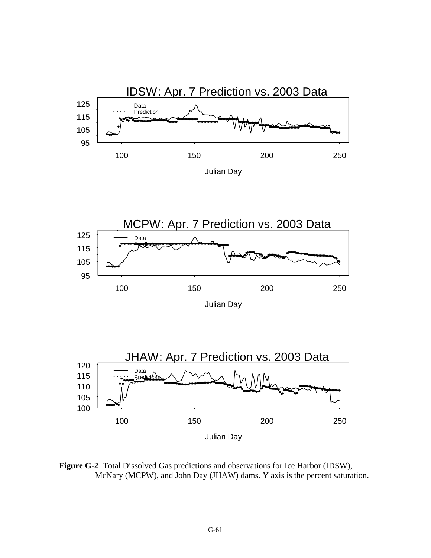



Julian Day



 **Figure G-2** Total Dissolved Gas predictions and observations for Ice Harbor (IDSW), McNary (MCPW), and John Day (JHAW) dams. Y axis is the percent saturation.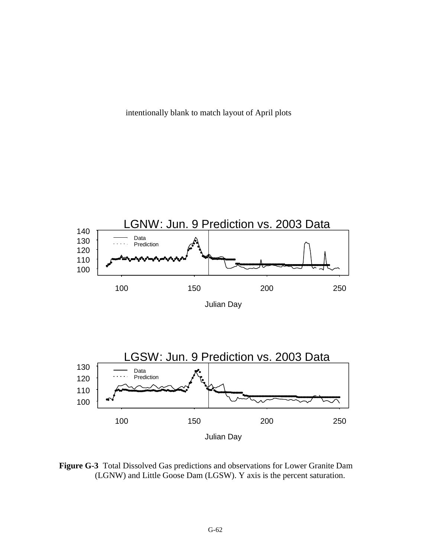intentionally blank to match layout of April plots



 **Figure G-3** Total Dissolved Gas predictions and observations for Lower Granite Dam (LGNW) and Little Goose Dam (LGSW). Y axis is the percent saturation.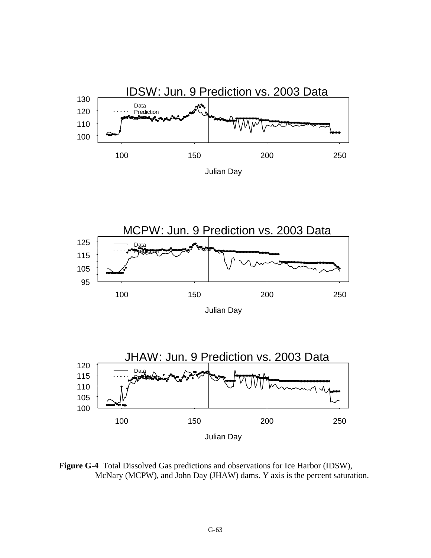





 **Figure G-4** Total Dissolved Gas predictions and observations for Ice Harbor (IDSW), McNary (MCPW), and John Day (JHAW) dams. Y axis is the percent saturation.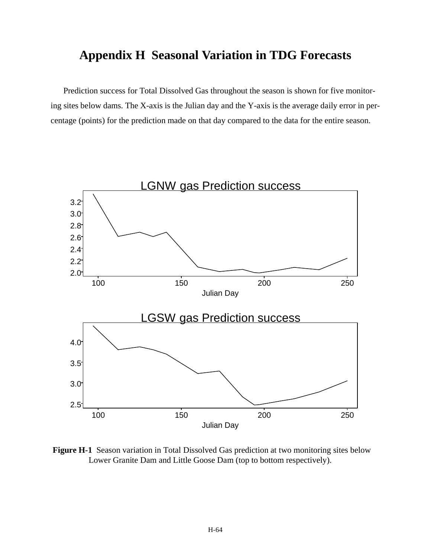#### **Appendix H Seasonal Variation in TDG Forecasts**

Prediction success for Total Dissolved Gas throughout the season is shown for five monitoring sites below dams. The X-axis is the Julian day and the Y-axis is the average daily error in percentage (points) for the prediction made on that day compared to the data for the entire season.



 **Figure H-1** Season variation in Total Dissolved Gas prediction at two monitoring sites below Lower Granite Dam and Little Goose Dam (top to bottom respectively).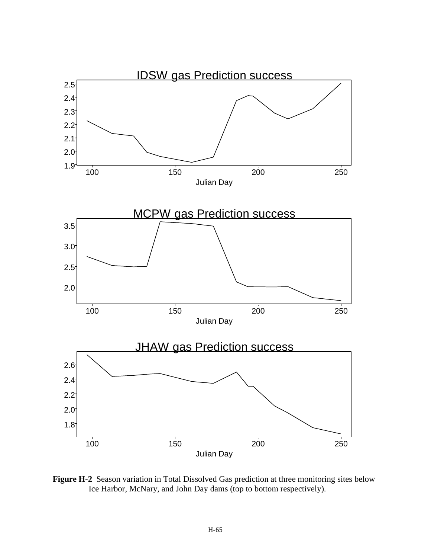

 **Figure H-2** Season variation in Total Dissolved Gas prediction at three monitoring sites below Ice Harbor, McNary, and John Day dams (top to bottom respectively).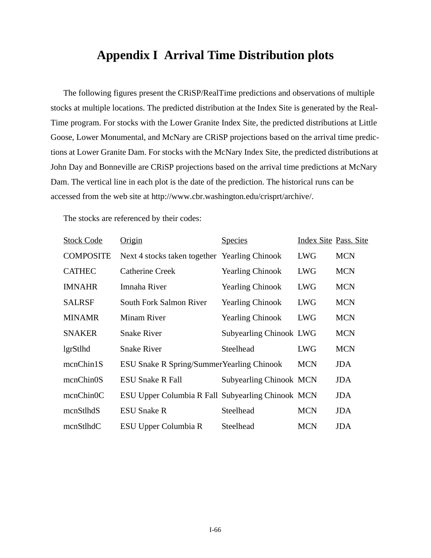#### **Appendix I Arrival Time Distribution plots**

The following figures present the CRiSP/RealTime predictions and observations of multiple stocks at multiple locations. The predicted distribution at the Index Site is generated by the Real-Time program. For stocks with the Lower Granite Index Site, the predicted distributions at Little Goose, Lower Monumental, and McNary are CRiSP projections based on the arrival time predictions at Lower Granite Dam. For stocks with the McNary Index Site, the predicted distributions at John Day and Bonneville are CRiSP projections based on the arrival time predictions at McNary Dam. The vertical line in each plot is the date of the prediction. The historical runs can be accessed from the web site at http://www.cbr.washington.edu/crisprt/archive/.

The stocks are referenced by their codes:

| <b>Stock Code</b> | Origin                                            | <b>Species</b>                 | Index Site Pass. Site |            |
|-------------------|---------------------------------------------------|--------------------------------|-----------------------|------------|
| <b>COMPOSITE</b>  | Next 4 stocks taken together Yearling Chinook     |                                | <b>LWG</b>            | <b>MCN</b> |
| <b>CATHEC</b>     | <b>Catherine Creek</b>                            | <b>Yearling Chinook</b>        | <b>LWG</b>            | <b>MCN</b> |
| <b>IMNAHR</b>     | Imnaha River                                      | <b>Yearling Chinook</b>        | <b>LWG</b>            | <b>MCN</b> |
| <b>SALRSF</b>     | South Fork Salmon River                           | <b>Yearling Chinook</b>        | <b>LWG</b>            | <b>MCN</b> |
| <b>MINAMR</b>     | <b>Minam River</b>                                | <b>Yearling Chinook</b>        | <b>LWG</b>            | <b>MCN</b> |
| <b>SNAKER</b>     | <b>Snake River</b>                                | <b>Subyearling Chinook LWG</b> |                       | <b>MCN</b> |
| lgrStlhd          | <b>Snake River</b>                                | Steelhead                      | <b>LWG</b>            | <b>MCN</b> |
| mcnChin1S         | <b>ESU Snake R Spring/Summer Yearling Chinook</b> |                                | <b>MCN</b>            | <b>JDA</b> |
| mcnChin0S         | <b>ESU Snake R Fall</b>                           | <b>Subyearling Chinook MCN</b> |                       | <b>JDA</b> |
| mcnChin0C         | ESU Upper Columbia R Fall Subyearling Chinook MCN |                                |                       | <b>JDA</b> |
| mcnStlhdS         | <b>ESU Snake R</b>                                | Steelhead                      | <b>MCN</b>            | <b>JDA</b> |
| mcnStlhdC         | ESU Upper Columbia R                              | Steelhead                      | <b>MCN</b>            | <b>JDA</b> |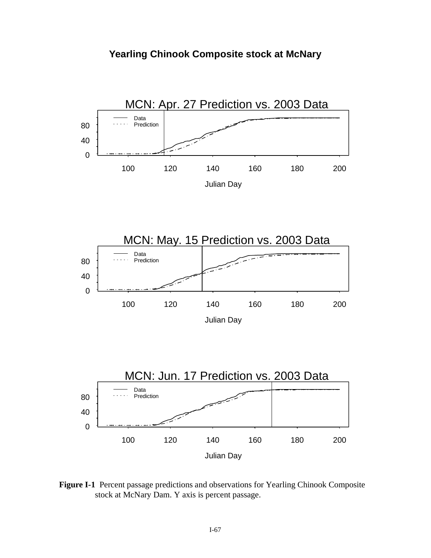



 **Figure I-1** Percent passage predictions and observations for Yearling Chinook Composite stock at McNary Dam. Y axis is percent passage.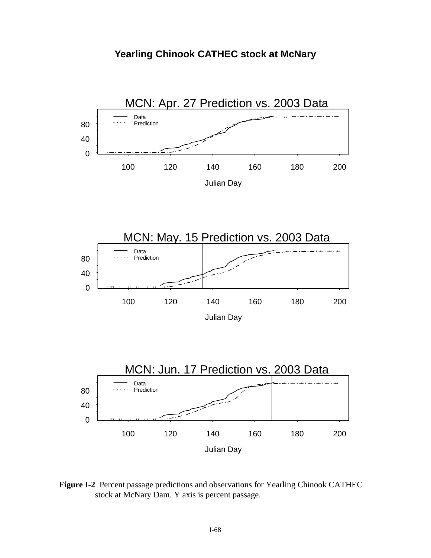



 **Figure I-2** Percent passage predictions and observations for Yearling Chinook CATHEC stock at McNary Dam. Y axis is percent passage.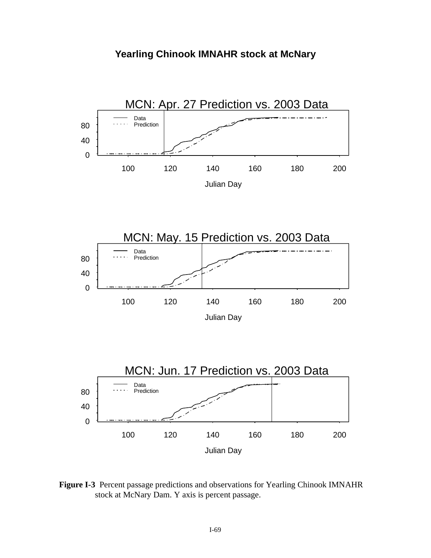



 **Figure I-3** Percent passage predictions and observations for Yearling Chinook IMNAHR stock at McNary Dam. Y axis is percent passage.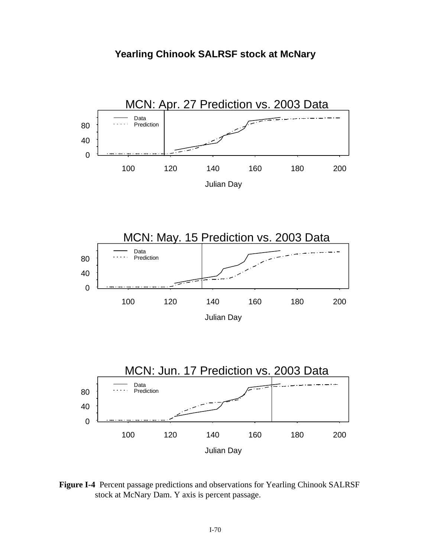



 **Figure I-4** Percent passage predictions and observations for Yearling Chinook SALRSF stock at McNary Dam. Y axis is percent passage.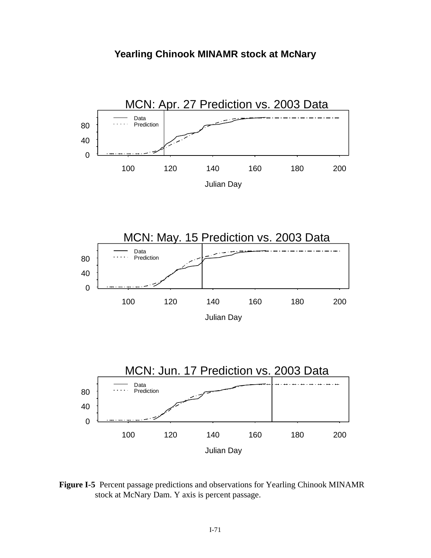



 **Figure I-5** Percent passage predictions and observations for Yearling Chinook MINAMR stock at McNary Dam. Y axis is percent passage.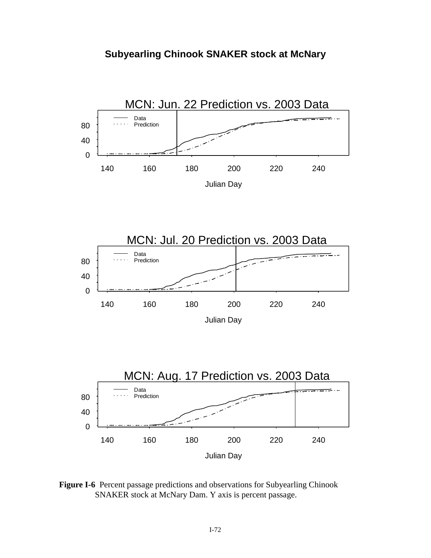



 **Figure I-6** Percent passage predictions and observations for Subyearling Chinook SNAKER stock at McNary Dam. Y axis is percent passage.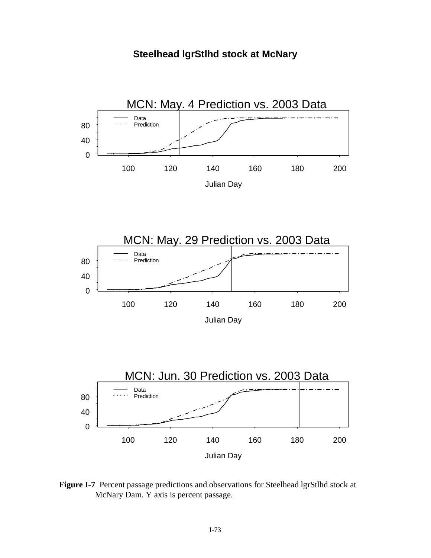**Steelhead lgrStlhd stock at McNary**



 **Figure I-7** Percent passage predictions and observations for Steelhead lgrStlhd stock at McNary Dam. Y axis is percent passage.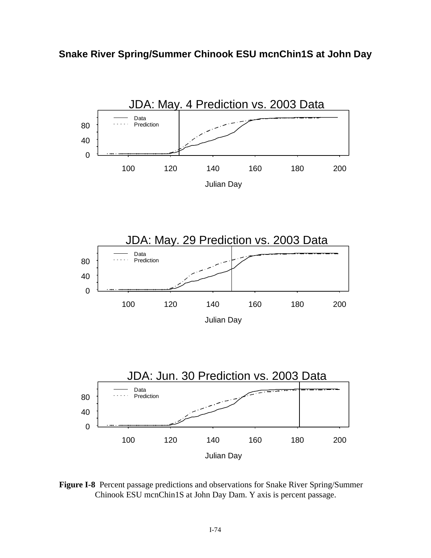**Snake River Spring/Summer Chinook ESU mcnChin1S at John Day**



 **Figure I-8** Percent passage predictions and observations for Snake River Spring/Summer Chinook ESU mcnChin1S at John Day Dam. Y axis is percent passage.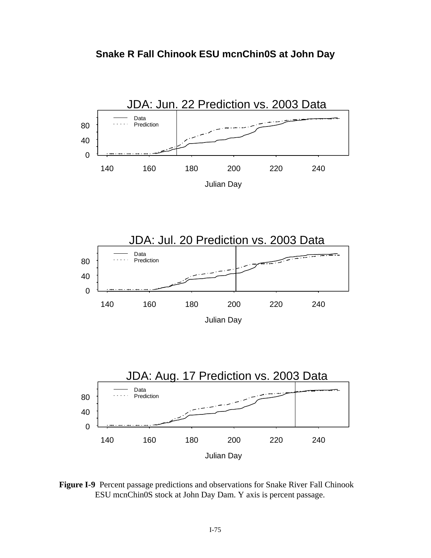





140 160 180 200 220 240

ESU mcnChin0S stock at John Day Dam. Y axis is percent passage.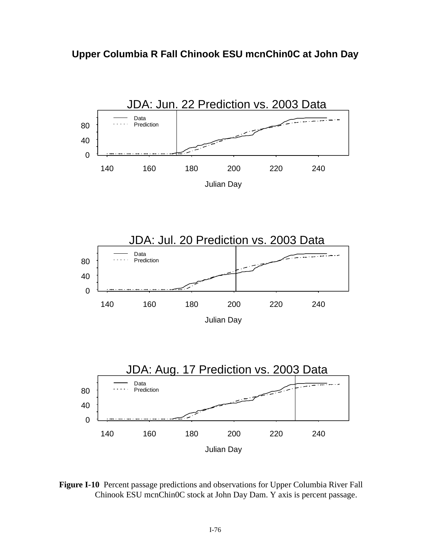



 **Figure I-10** Percent passage predictions and observations for Upper Columbia River Fall Chinook ESU mcnChin0C stock at John Day Dam. Y axis is percent passage.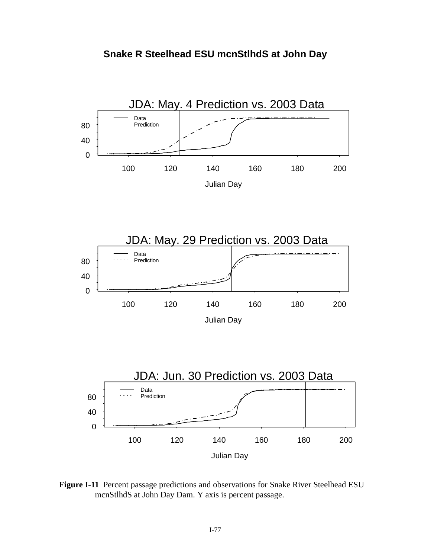



 **Figure I-11** Percent passage predictions and observations for Snake River Steelhead ESU mcnStlhdS at John Day Dam. Y axis is percent passage.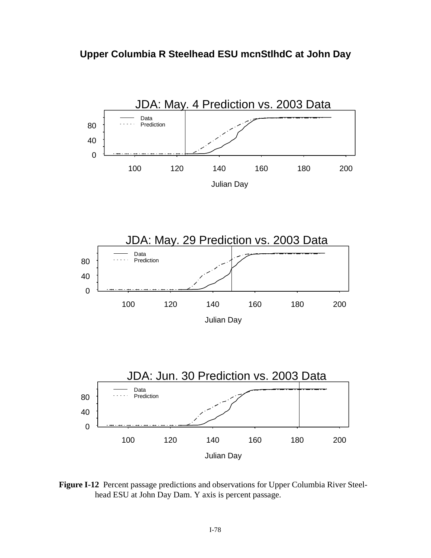



 **Figure I-12** Percent passage predictions and observations for Upper Columbia River Steelhead ESU at John Day Dam. Y axis is percent passage.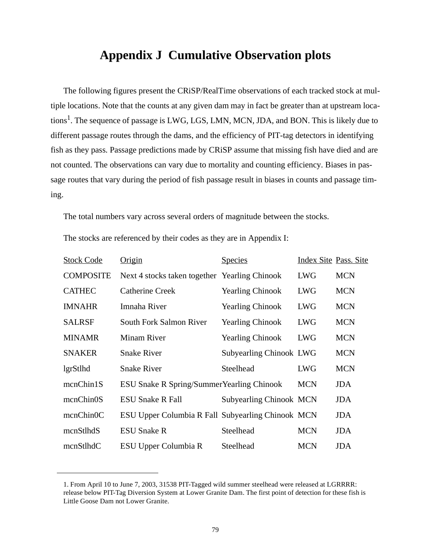## **Appendix J Cumulative Observation plots**

The following figures present the CRiSP/RealTime observations of each tracked stock at multiple locations. Note that the counts at any given dam may in fact be greater than at upstream locations<sup>1</sup>. The sequence of passage is LWG, LGS, LMN, MCN, JDA, and BON. This is likely due to different passage routes through the dams, and the efficiency of PIT-tag detectors in identifying fish as they pass. Passage predictions made by CRiSP assume that missing fish have died and are not counted. The observations can vary due to mortality and counting efficiency. Biases in passage routes that vary during the period of fish passage result in biases in counts and passage timing.

The total numbers vary across several orders of magnitude between the stocks.

| <b>Stock Code</b>      | Origin                                            | <b>Species</b>                 | Index Site Pass. Site |            |
|------------------------|---------------------------------------------------|--------------------------------|-----------------------|------------|
| <b>COMPOSITE</b>       | Next 4 stocks taken together Yearling Chinook     |                                | <b>LWG</b>            | <b>MCN</b> |
| <b>CATHEC</b>          | <b>Catherine Creek</b>                            | <b>Yearling Chinook</b>        | <b>LWG</b>            | <b>MCN</b> |
| <b>IMNAHR</b>          | Imnaha River                                      | <b>Yearling Chinook</b>        | <b>LWG</b>            | <b>MCN</b> |
| <b>SALRSF</b>          | South Fork Salmon River                           | <b>Yearling Chinook</b>        | <b>LWG</b>            | <b>MCN</b> |
| <b>MINAMR</b>          | <b>Minam River</b>                                | <b>Yearling Chinook</b>        | <b>LWG</b>            | <b>MCN</b> |
| <b>SNAKER</b>          | <b>Snake River</b>                                | <b>Subyearling Chinook LWG</b> |                       | <b>MCN</b> |
| lgrStlhd               | <b>Snake River</b>                                | Steelhead                      | <b>LWG</b>            | <b>MCN</b> |
| mcnChin1S              | ESU Snake R Spring/SummerYearling Chinook         |                                | <b>MCN</b>            | <b>JDA</b> |
| mcnChin <sub>0</sub> S | <b>ESU Snake R Fall</b>                           | <b>Subyearling Chinook MCN</b> |                       | <b>JDA</b> |
| mcnChin0C              | ESU Upper Columbia R Fall Subyearling Chinook MCN |                                |                       | <b>JDA</b> |
| mcnStlhdS              | <b>ESU Snake R</b>                                | Steelhead                      | <b>MCN</b>            | <b>JDA</b> |
| mcnStlhdC              | ESU Upper Columbia R                              | Steelhead                      | <b>MCN</b>            | <b>JDA</b> |

The stocks are referenced by their codes as they are in [Appendix I](#page-65-0):

<sup>1.</sup> From April 10 to June 7, 2003, 31538 PIT-Tagged wild summer steelhead were released at LGRRRR: release below PIT-Tag Diversion System at Lower Granite Dam. The first point of detection for these fish is Little Goose Dam not Lower Granite.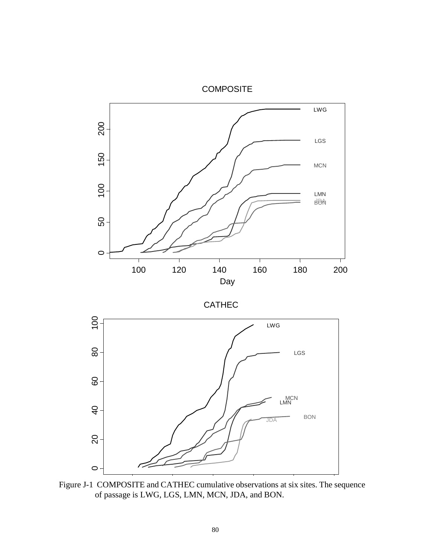

 Figure J-1 COMPOSITE and CATHEC cumulative observations at six sites. The sequence of passage is LWG, LGS, LMN, MCN, JDA, and BON.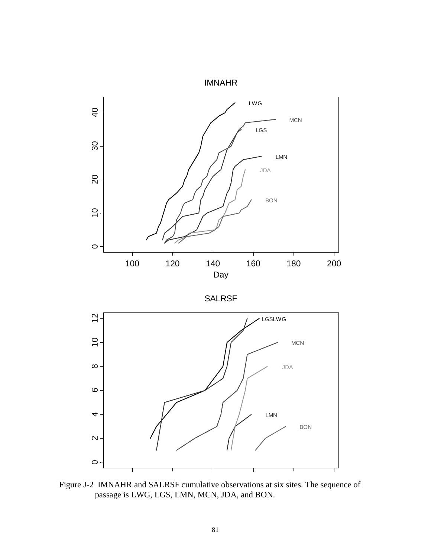

Figure J-2 IMNAHR and SALRSF cumulative observations at six sites. The sequence of passage is LWG, LGS, LMN, MCN, JDA, and BON.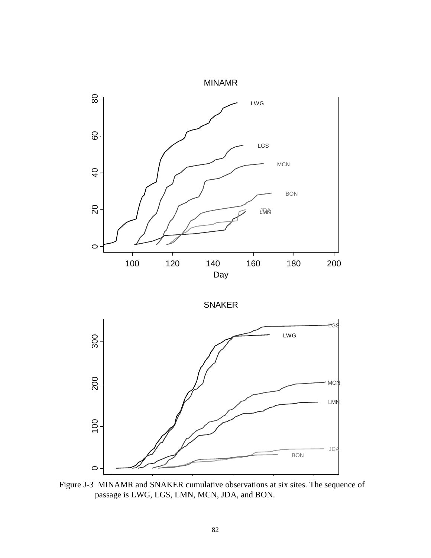

SNAKER



 Figure J-3 MINAMR and SNAKER cumulative observations at six sites. The sequence of passage is LWG, LGS, LMN, MCN, JDA, and BON.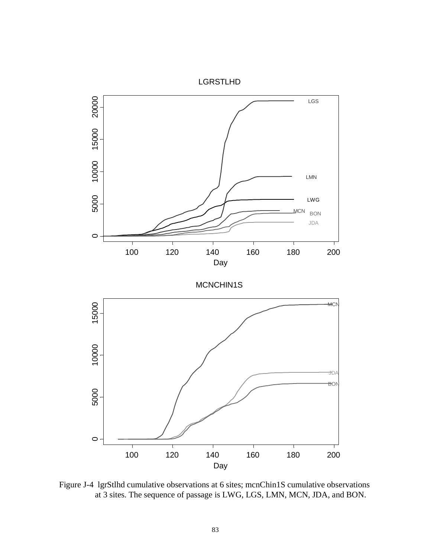

 Figure J-4 lgrStlhd cumulative observations at 6 sites; mcnChin1S cumulative observations at 3 sites. The sequence of passage is LWG, LGS, LMN, MCN, JDA, and BON.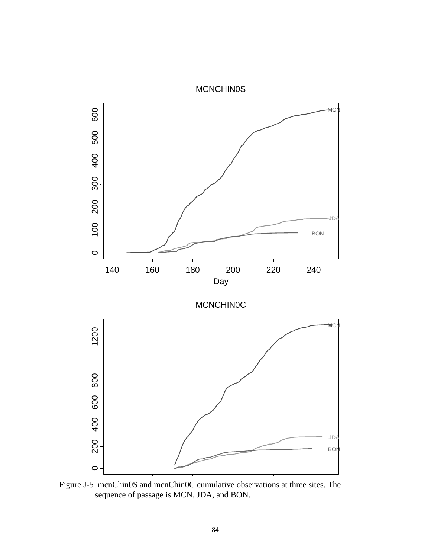

 Figure J-5 mcnChin0S and mcnChin0C cumulative observations at three sites. The sequence of passage is MCN, JDA, and BON.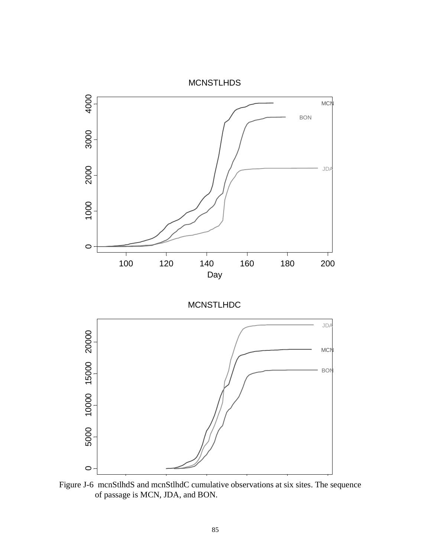

 Figure J-6 mcnStlhdS and mcnStlhdC cumulative observations at six sites. The sequence of passage is MCN, JDA, and BON.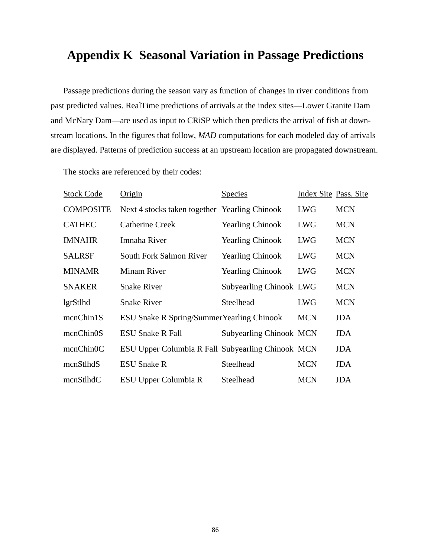## **Appendix K Seasonal Variation in Passage Predictions**

Passage predictions during the season vary as function of changes in river conditions from past predicted values. RealTime predictions of arrivals at the index sites—Lower Granite Dam and McNary Dam—are used as input to CRiSP which then predicts the arrival of fish at downstream locations. In the figures that follow, *MAD* computations for each modeled day of arrivals are displayed. Patterns of prediction success at an upstream location are propagated downstream.

The stocks are referenced by their codes:

| <b>Stock Code</b> | Origin                                            | <b>Species</b>                 | Index Site Pass. Site |            |
|-------------------|---------------------------------------------------|--------------------------------|-----------------------|------------|
| <b>COMPOSITE</b>  | Next 4 stocks taken together Yearling Chinook     |                                | <b>LWG</b>            | <b>MCN</b> |
| <b>CATHEC</b>     | <b>Catherine Creek</b>                            | <b>Yearling Chinook</b>        | <b>LWG</b>            | <b>MCN</b> |
| <b>IMNAHR</b>     | Imnaha River                                      | <b>Yearling Chinook</b>        | <b>LWG</b>            | <b>MCN</b> |
| <b>SALRSF</b>     | South Fork Salmon River                           | <b>Yearling Chinook</b>        | <b>LWG</b>            | <b>MCN</b> |
| <b>MINAMR</b>     | <b>Minam River</b>                                | <b>Yearling Chinook</b>        | <b>LWG</b>            | <b>MCN</b> |
| <b>SNAKER</b>     | <b>Snake River</b>                                | <b>Subyearling Chinook LWG</b> |                       | <b>MCN</b> |
| lgrStlhd          | <b>Snake River</b>                                | Steelhead                      | <b>LWG</b>            | <b>MCN</b> |
| mcnChin1S         | <b>ESU Snake R Spring/Summer Yearling Chinook</b> |                                | <b>MCN</b>            | <b>JDA</b> |
| mcnChin0S         | <b>ESU Snake R Fall</b>                           | <b>Subyearling Chinook MCN</b> |                       | <b>JDA</b> |
| mcnChin0C         | ESU Upper Columbia R Fall Subyearling Chinook MCN |                                |                       | <b>JDA</b> |
| mcnStlhdS         | <b>ESU Snake R</b>                                | Steelhead                      | <b>MCN</b>            | <b>JDA</b> |
| mcnStlhdC         | ESU Upper Columbia R                              | Steelhead                      | <b>MCN</b>            | <b>JDA</b> |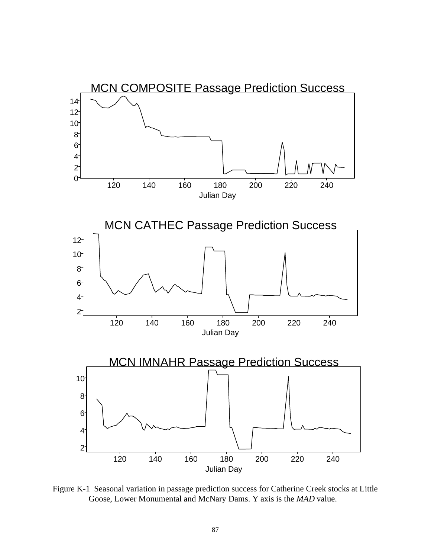

 Figure K-1 Seasonal variation in passage prediction success for Catherine Creek stocks at Little Goose, Lower Monumental and McNary Dams. Y axis is the *MAD* value.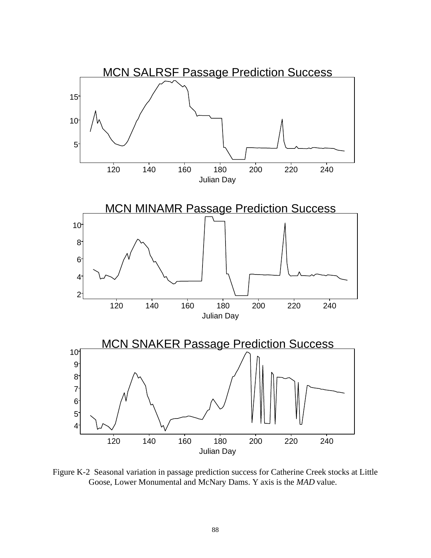

 Figure K-2 Seasonal variation in passage prediction success for Catherine Creek stocks at Little Goose, Lower Monumental and McNary Dams. Y axis is the *MAD* value.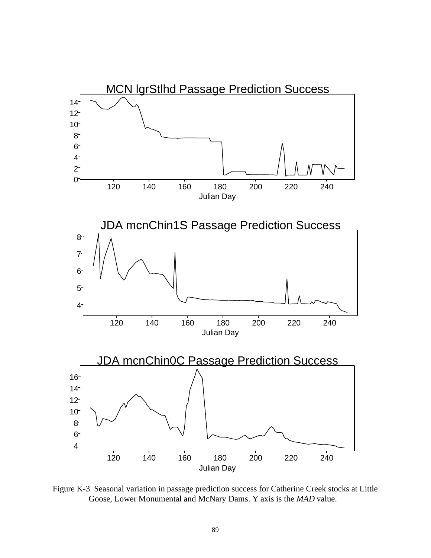

 Figure K-3 Seasonal variation in passage prediction success for Catherine Creek stocks at Little Goose, Lower Monumental and McNary Dams. Y axis is the *MAD* value.